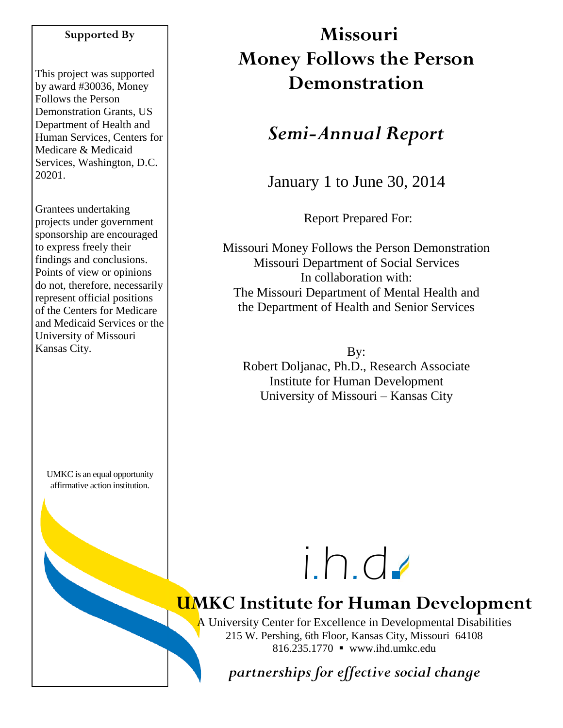#### **Supported By**

This project was supported by award #30036, Money Follows the Person Demonstration Grants, US Department of Health and Human Services, Centers for Medicare & Medicaid Services, Washington, D.C. 20201.

Grantees undertaking projects under government sponsorship are encouraged to express freely their findings and conclusions. Points of view or opinions do not, therefore, necessarily represent official positions of the Centers for Medicare and Medicaid Services or the University of Missouri Kansas City.

UMKC is an equal opportunity affirmative action institution.

# **Missouri Money Follows the Person Demonstration**

## *Semi-Annual Report*

January 1 to June 30, 2014

Report Prepared For:

Missouri Money Follows the Person Demonstration Missouri Department of Social Services In collaboration with: The Missouri Department of Mental Health and the Department of Health and Senior Services

By: Robert Doljanac, Ph.D., Research Associate Institute for Human Development University of Missouri – Kansas City



# **UMKC Institute for Human Development**

A University Center for Excellence in Developmental Disabilities 215 W. Pershing, 6th Floor, Kansas City, Missouri 64108 816.235.1770 www.ihd.umkc.edu

*partnerships for effective social change*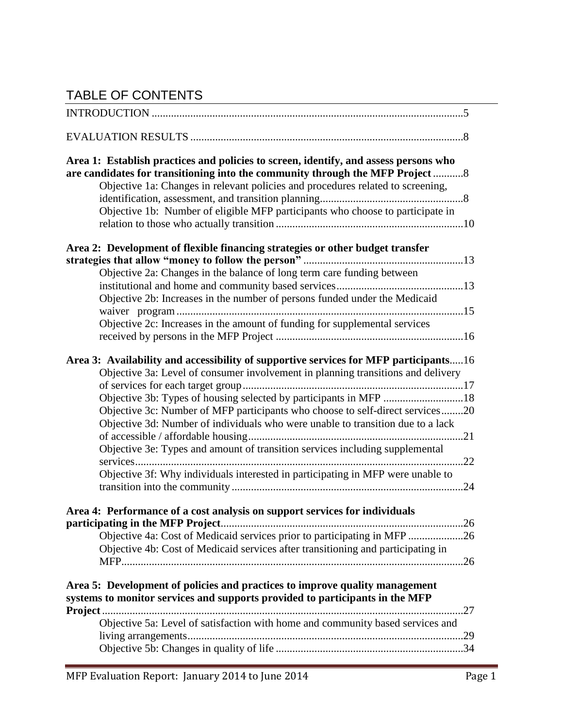## TABLE OF CONTENTS

| Area 1: Establish practices and policies to screen, identify, and assess persons who<br>are candidates for transitioning into the community through the MFP Project 8<br>Objective 1a: Changes in relevant policies and procedures related to screening,<br>Objective 1b: Number of eligible MFP participants who choose to participate in                                                                                                                                                                                  |  |
|-----------------------------------------------------------------------------------------------------------------------------------------------------------------------------------------------------------------------------------------------------------------------------------------------------------------------------------------------------------------------------------------------------------------------------------------------------------------------------------------------------------------------------|--|
| Area 2: Development of flexible financing strategies or other budget transfer<br>Objective 2a: Changes in the balance of long term care funding between<br>Objective 2b: Increases in the number of persons funded under the Medicaid<br>Objective 2c: Increases in the amount of funding for supplemental services                                                                                                                                                                                                         |  |
| Area 3: Availability and accessibility of supportive services for MFP participants16<br>Objective 3a: Level of consumer involvement in planning transitions and delivery<br>Objective 3c: Number of MFP participants who choose to self-direct services20<br>Objective 3d: Number of individuals who were unable to transition due to a lack<br>Objective 3e: Types and amount of transition services including supplemental<br>services<br>Objective 3f: Why individuals interested in participating in MFP were unable to |  |
| Area 4: Performance of a cost analysis on support services for individuals<br>Objective 4a: Cost of Medicaid services prior to participating in MFP 26<br>Objective 4b: Cost of Medicaid services after transitioning and participating in                                                                                                                                                                                                                                                                                  |  |
| Area 5: Development of policies and practices to improve quality management<br>systems to monitor services and supports provided to participants in the MFP<br>Project.<br>Objective 5a: Level of satisfaction with home and community based services and                                                                                                                                                                                                                                                                   |  |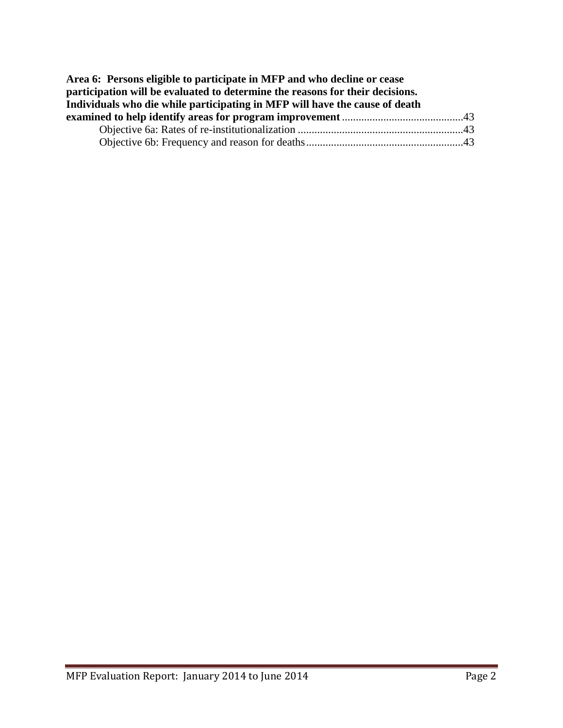| Area 6: Persons eligible to participate in MFP and who decline or cease       |  |
|-------------------------------------------------------------------------------|--|
| participation will be evaluated to determine the reasons for their decisions. |  |
| Individuals who die while participating in MFP will have the cause of death   |  |
|                                                                               |  |
|                                                                               |  |
|                                                                               |  |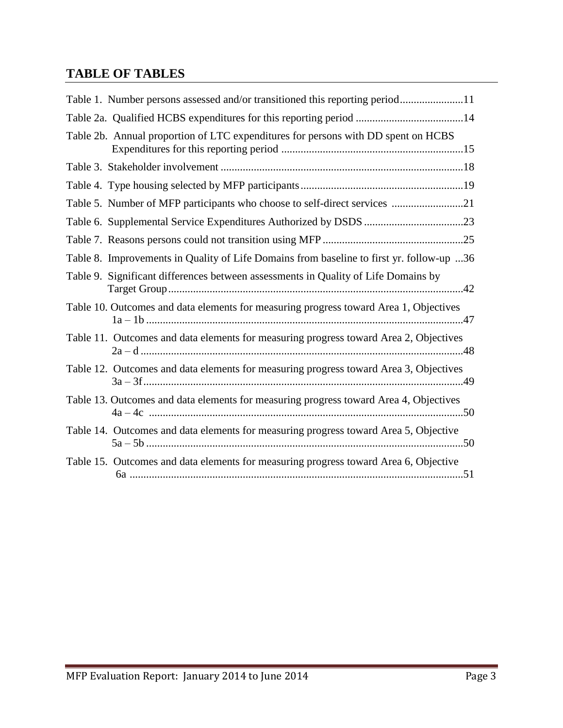## **TABLE OF TABLES**

| Table 1. Number persons assessed and/or transitioned this reporting period11             |
|------------------------------------------------------------------------------------------|
| Table 2a. Qualified HCBS expenditures for this reporting period 14                       |
| Table 2b. Annual proportion of LTC expenditures for persons with DD spent on HCBS        |
|                                                                                          |
|                                                                                          |
| Table 5. Number of MFP participants who choose to self-direct services 21                |
|                                                                                          |
|                                                                                          |
| Table 8. Improvements in Quality of Life Domains from baseline to first yr. follow-up 36 |
| Table 9. Significant differences between assessments in Quality of Life Domains by       |
| Table 10. Outcomes and data elements for measuring progress toward Area 1, Objectives    |
| Table 11. Outcomes and data elements for measuring progress toward Area 2, Objectives    |
| Table 12. Outcomes and data elements for measuring progress toward Area 3, Objectives    |
| Table 13. Outcomes and data elements for measuring progress toward Area 4, Objectives    |
| Table 14. Outcomes and data elements for measuring progress toward Area 5, Objective     |
| Table 15. Outcomes and data elements for measuring progress toward Area 6, Objective     |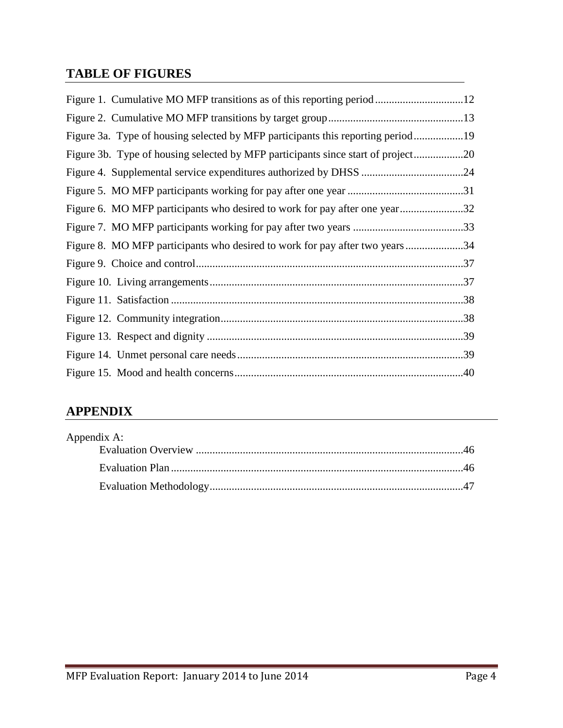### **TABLE OF FIGURES**

| Figure 3a. Type of housing selected by MFP participants this reporting period19  |  |
|----------------------------------------------------------------------------------|--|
| Figure 3b. Type of housing selected by MFP participants since start of project20 |  |
|                                                                                  |  |
|                                                                                  |  |
| Figure 6. MO MFP participants who desired to work for pay after one year32       |  |
|                                                                                  |  |
| Figure 8. MO MFP participants who desired to work for pay after two years34      |  |
|                                                                                  |  |
|                                                                                  |  |
|                                                                                  |  |
|                                                                                  |  |
|                                                                                  |  |
|                                                                                  |  |
|                                                                                  |  |

## **APPENDIX**

| Appendix A: |  |
|-------------|--|
|             |  |
|             |  |
|             |  |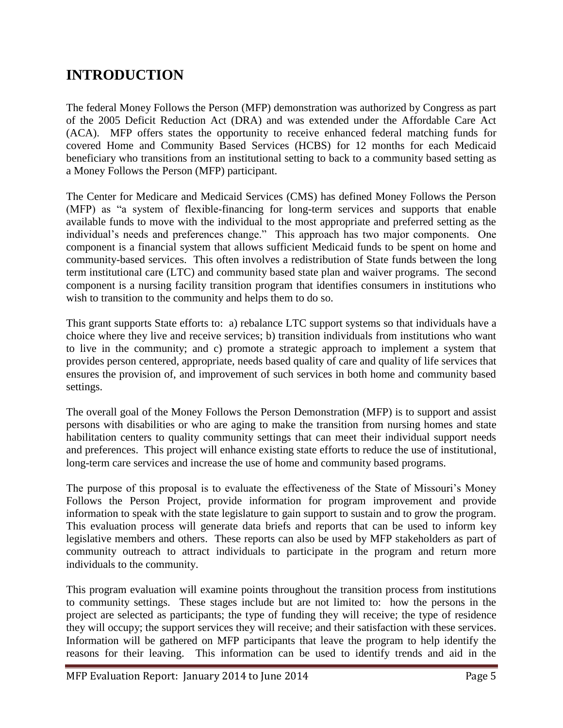## **INTRODUCTION**

The federal Money Follows the Person (MFP) demonstration was authorized by Congress as part of the 2005 Deficit Reduction Act (DRA) and was extended under the Affordable Care Act (ACA). MFP offers states the opportunity to receive enhanced federal matching funds for covered Home and Community Based Services (HCBS) for 12 months for each Medicaid beneficiary who transitions from an institutional setting to back to a community based setting as a Money Follows the Person (MFP) participant.

The Center for Medicare and Medicaid Services (CMS) has defined Money Follows the Person (MFP) as "a system of flexible-financing for long-term services and supports that enable available funds to move with the individual to the most appropriate and preferred setting as the individual's needs and preferences change." This approach has two major components. One component is a financial system that allows sufficient Medicaid funds to be spent on home and community-based services. This often involves a redistribution of State funds between the long term institutional care (LTC) and community based state plan and waiver programs. The second component is a nursing facility transition program that identifies consumers in institutions who wish to transition to the community and helps them to do so.

This grant supports State efforts to: a) rebalance LTC support systems so that individuals have a choice where they live and receive services; b) transition individuals from institutions who want to live in the community; and c) promote a strategic approach to implement a system that provides person centered, appropriate, needs based quality of care and quality of life services that ensures the provision of, and improvement of such services in both home and community based settings.

The overall goal of the Money Follows the Person Demonstration (MFP) is to support and assist persons with disabilities or who are aging to make the transition from nursing homes and state habilitation centers to quality community settings that can meet their individual support needs and preferences. This project will enhance existing state efforts to reduce the use of institutional, long-term care services and increase the use of home and community based programs.

The purpose of this proposal is to evaluate the effectiveness of the State of Missouri's Money Follows the Person Project, provide information for program improvement and provide information to speak with the state legislature to gain support to sustain and to grow the program. This evaluation process will generate data briefs and reports that can be used to inform key legislative members and others. These reports can also be used by MFP stakeholders as part of community outreach to attract individuals to participate in the program and return more individuals to the community.

This program evaluation will examine points throughout the transition process from institutions to community settings. These stages include but are not limited to: how the persons in the project are selected as participants; the type of funding they will receive; the type of residence they will occupy; the support services they will receive; and their satisfaction with these services. Information will be gathered on MFP participants that leave the program to help identify the reasons for their leaving. This information can be used to identify trends and aid in the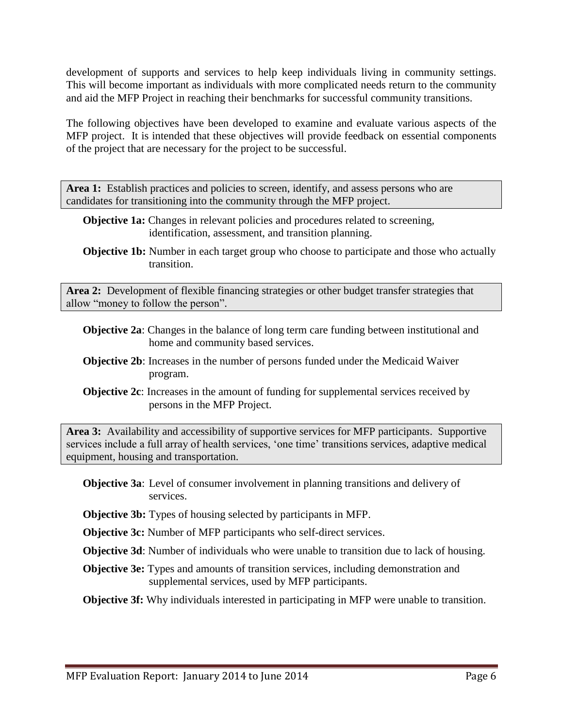development of supports and services to help keep individuals living in community settings. This will become important as individuals with more complicated needs return to the community and aid the MFP Project in reaching their benchmarks for successful community transitions.

The following objectives have been developed to examine and evaluate various aspects of the MFP project. It is intended that these objectives will provide feedback on essential components of the project that are necessary for the project to be successful.

Area 1: Establish practices and policies to screen, identify, and assess persons who are candidates for transitioning into the community through the MFP project.

- **Objective 1a:** Changes in relevant policies and procedures related to screening, identification, assessment, and transition planning.
- **Objective 1b:** Number in each target group who choose to participate and those who actually transition.

**Area 2:** Development of flexible financing strategies or other budget transfer strategies that allow "money to follow the person".

- **Objective 2a**: Changes in the balance of long term care funding between institutional and home and community based services.
- **Objective 2b**: Increases in the number of persons funded under the Medicaid Waiver program.
- **Objective 2c**: Increases in the amount of funding for supplemental services received by persons in the MFP Project.

**Area 3:** Availability and accessibility of supportive services for MFP participants. Supportive services include a full array of health services, 'one time' transitions services, adaptive medical equipment, housing and transportation.

**Objective 3a**: Level of consumer involvement in planning transitions and delivery of services.

**Objective 3b:** Types of housing selected by participants in MFP.

**Objective 3c:** Number of MFP participants who self-direct services.

**Objective 3d**: Number of individuals who were unable to transition due to lack of housing.

**Objective 3e:** Types and amounts of transition services, including demonstration and supplemental services, used by MFP participants.

**Objective 3f:** Why individuals interested in participating in MFP were unable to transition.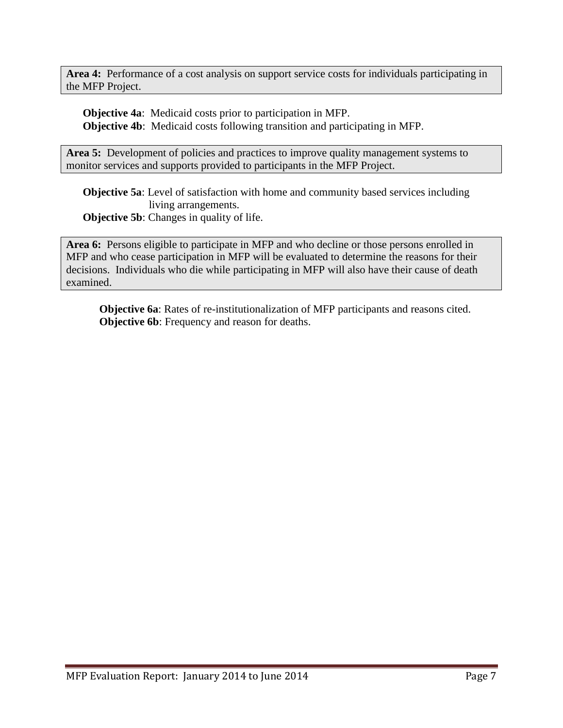**Area 4:** Performance of a cost analysis on support service costs for individuals participating in the MFP Project.

**Objective 4a**: Medicaid costs prior to participation in MFP. **Objective 4b**: Medicaid costs following transition and participating in MFP.

Area 5: Development of policies and practices to improve quality management systems to monitor services and supports provided to participants in the MFP Project.

**Objective 5a**: Level of satisfaction with home and community based services including living arrangements.

**Objective 5b:** Changes in quality of life.

**Area 6:** Persons eligible to participate in MFP and who decline or those persons enrolled in MFP and who cease participation in MFP will be evaluated to determine the reasons for their decisions. Individuals who die while participating in MFP will also have their cause of death examined.

**Objective 6a**: Rates of re-institutionalization of MFP participants and reasons cited. **Objective 6b**: Frequency and reason for deaths.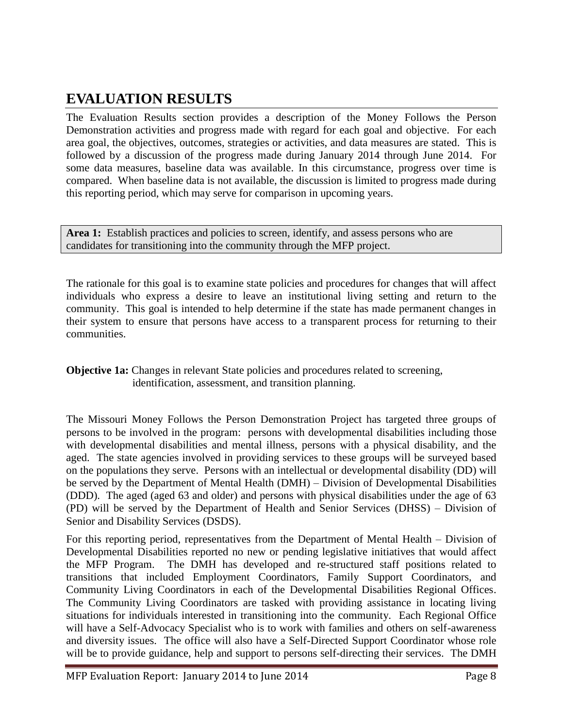## **EVALUATION RESULTS**

The Evaluation Results section provides a description of the Money Follows the Person Demonstration activities and progress made with regard for each goal and objective. For each area goal, the objectives, outcomes, strategies or activities, and data measures are stated. This is followed by a discussion of the progress made during January 2014 through June 2014. For some data measures, baseline data was available. In this circumstance, progress over time is compared. When baseline data is not available, the discussion is limited to progress made during this reporting period, which may serve for comparison in upcoming years.

Area 1: Establish practices and policies to screen, identify, and assess persons who are candidates for transitioning into the community through the MFP project.

The rationale for this goal is to examine state policies and procedures for changes that will affect individuals who express a desire to leave an institutional living setting and return to the community. This goal is intended to help determine if the state has made permanent changes in their system to ensure that persons have access to a transparent process for returning to their communities.

**Objective 1a:** Changes in relevant State policies and procedures related to screening, identification, assessment, and transition planning.

The Missouri Money Follows the Person Demonstration Project has targeted three groups of persons to be involved in the program: persons with developmental disabilities including those with developmental disabilities and mental illness, persons with a physical disability, and the aged. The state agencies involved in providing services to these groups will be surveyed based on the populations they serve. Persons with an intellectual or developmental disability (DD) will be served by the Department of Mental Health (DMH) – Division of Developmental Disabilities (DDD). The aged (aged 63 and older) and persons with physical disabilities under the age of 63 (PD) will be served by the Department of Health and Senior Services (DHSS) – Division of Senior and Disability Services (DSDS).

For this reporting period, representatives from the Department of Mental Health – Division of Developmental Disabilities reported no new or pending legislative initiatives that would affect the MFP Program. The DMH has developed and re-structured staff positions related to transitions that included Employment Coordinators, Family Support Coordinators, and Community Living Coordinators in each of the Developmental Disabilities Regional Offices. The Community Living Coordinators are tasked with providing assistance in locating living situations for individuals interested in transitioning into the community. Each Regional Office will have a Self-Advocacy Specialist who is to work with families and others on self-awareness and diversity issues. The office will also have a Self-Directed Support Coordinator whose role will be to provide guidance, help and support to persons self-directing their services. The DMH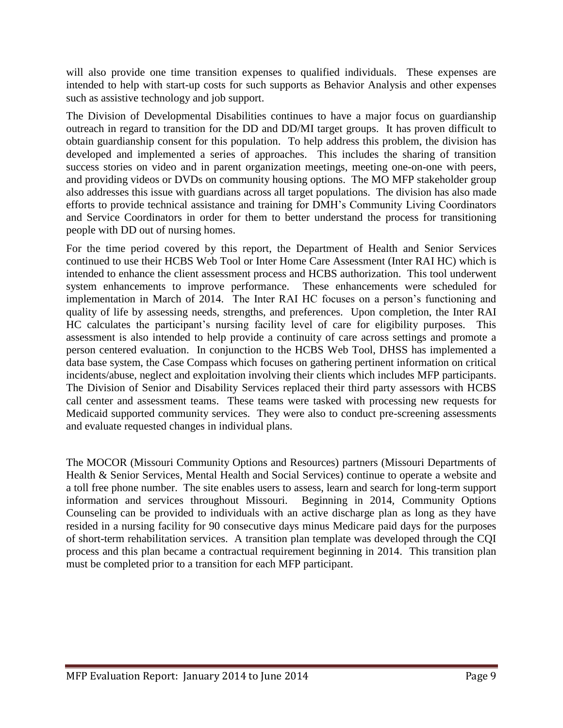will also provide one time transition expenses to qualified individuals. These expenses are intended to help with start-up costs for such supports as Behavior Analysis and other expenses such as assistive technology and job support.

The Division of Developmental Disabilities continues to have a major focus on guardianship outreach in regard to transition for the DD and DD/MI target groups. It has proven difficult to obtain guardianship consent for this population. To help address this problem, the division has developed and implemented a series of approaches. This includes the sharing of transition success stories on video and in parent organization meetings, meeting one-on-one with peers, and providing videos or DVDs on community housing options. The MO MFP stakeholder group also addresses this issue with guardians across all target populations. The division has also made efforts to provide technical assistance and training for DMH's Community Living Coordinators and Service Coordinators in order for them to better understand the process for transitioning people with DD out of nursing homes.

For the time period covered by this report, the Department of Health and Senior Services continued to use their HCBS Web Tool or Inter Home Care Assessment (Inter RAI HC) which is intended to enhance the client assessment process and HCBS authorization. This tool underwent system enhancements to improve performance. These enhancements were scheduled for implementation in March of 2014. The Inter RAI HC focuses on a person's functioning and quality of life by assessing needs, strengths, and preferences. Upon completion, the Inter RAI HC calculates the participant's nursing facility level of care for eligibility purposes. This assessment is also intended to help provide a continuity of care across settings and promote a person centered evaluation. In conjunction to the HCBS Web Tool, DHSS has implemented a data base system, the Case Compass which focuses on gathering pertinent information on critical incidents/abuse, neglect and exploitation involving their clients which includes MFP participants. The Division of Senior and Disability Services replaced their third party assessors with HCBS call center and assessment teams. These teams were tasked with processing new requests for Medicaid supported community services. They were also to conduct pre-screening assessments and evaluate requested changes in individual plans.

The MOCOR (Missouri Community Options and Resources) partners (Missouri Departments of Health & Senior Services, Mental Health and Social Services) continue to operate a website and a toll free phone number. The site enables users to assess, learn and search for long-term support information and services throughout Missouri. Beginning in 2014, Community Options Counseling can be provided to individuals with an active discharge plan as long as they have resided in a nursing facility for 90 consecutive days minus Medicare paid days for the purposes of short-term rehabilitation services. A transition plan template was developed through the CQI process and this plan became a contractual requirement beginning in 2014. This transition plan must be completed prior to a transition for each MFP participant.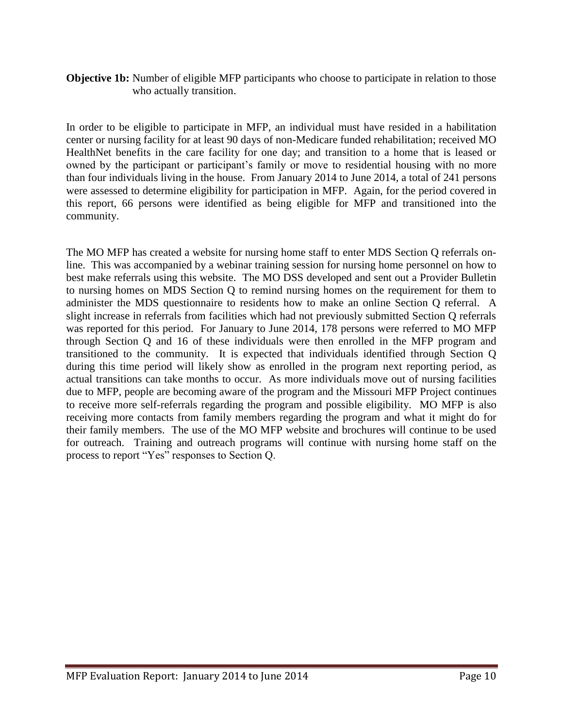#### **Objective 1b:** Number of eligible MFP participants who choose to participate in relation to those who actually transition.

In order to be eligible to participate in MFP, an individual must have resided in a habilitation center or nursing facility for at least 90 days of non-Medicare funded rehabilitation; received MO HealthNet benefits in the care facility for one day; and transition to a home that is leased or owned by the participant or participant's family or move to residential housing with no more than four individuals living in the house. From January 2014 to June 2014, a total of 241 persons were assessed to determine eligibility for participation in MFP. Again, for the period covered in this report, 66 persons were identified as being eligible for MFP and transitioned into the community.

The MO MFP has created a website for nursing home staff to enter MDS Section Q referrals online. This was accompanied by a webinar training session for nursing home personnel on how to best make referrals using this website. The MO DSS developed and sent out a Provider Bulletin to nursing homes on MDS Section Q to remind nursing homes on the requirement for them to administer the MDS questionnaire to residents how to make an online Section Q referral. A slight increase in referrals from facilities which had not previously submitted Section Q referrals was reported for this period. For January to June 2014, 178 persons were referred to MO MFP through Section Q and 16 of these individuals were then enrolled in the MFP program and transitioned to the community. It is expected that individuals identified through Section Q during this time period will likely show as enrolled in the program next reporting period, as actual transitions can take months to occur. As more individuals move out of nursing facilities due to MFP, people are becoming aware of the program and the Missouri MFP Project continues to receive more self-referrals regarding the program and possible eligibility. MO MFP is also receiving more contacts from family members regarding the program and what it might do for their family members. The use of the MO MFP website and brochures will continue to be used for outreach. Training and outreach programs will continue with nursing home staff on the process to report "Yes" responses to Section Q.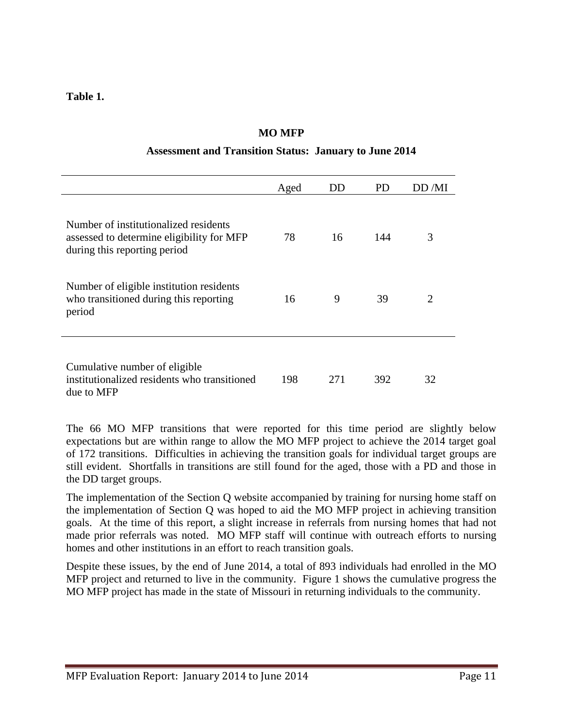**Table 1.**

| Assessment and Transition Status. January to June 2014                                                             |      |     |     |                       |
|--------------------------------------------------------------------------------------------------------------------|------|-----|-----|-----------------------|
|                                                                                                                    | Aged | DD  | PD. | DD /MI                |
| Number of institutionalized residents<br>assessed to determine eligibility for MFP<br>during this reporting period | 78   | 16  | 144 | 3                     |
| Number of eligible institution residents<br>who transitioned during this reporting<br>period                       | 16   | 9   | 39  | $\mathcal{D}_{\cdot}$ |
| Cumulative number of eligible<br>institutionalized residents who transitioned<br>due to MFP                        | 198  | 271 | 392 | 32                    |

#### **MO MFP**

#### **Assessment and Transition Status: January to June 2014**

The 66 MO MFP transitions that were reported for this time period are slightly below expectations but are within range to allow the MO MFP project to achieve the 2014 target goal of 172 transitions. Difficulties in achieving the transition goals for individual target groups are still evident. Shortfalls in transitions are still found for the aged, those with a PD and those in the DD target groups.

The implementation of the Section Q website accompanied by training for nursing home staff on the implementation of Section Q was hoped to aid the MO MFP project in achieving transition goals. At the time of this report, a slight increase in referrals from nursing homes that had not made prior referrals was noted. MO MFP staff will continue with outreach efforts to nursing homes and other institutions in an effort to reach transition goals.

Despite these issues, by the end of June 2014, a total of 893 individuals had enrolled in the MO MFP project and returned to live in the community. Figure 1 shows the cumulative progress the MO MFP project has made in the state of Missouri in returning individuals to the community.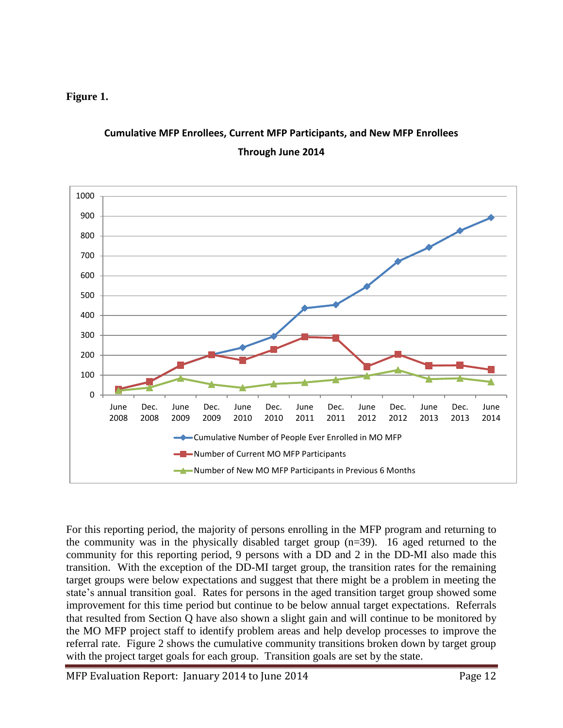#### **Figure 1.**



## **Cumulative MFP Enrollees, Current MFP Participants, and New MFP Enrollees Through June 2014**

For this reporting period, the majority of persons enrolling in the MFP program and returning to the community was in the physically disabled target group (n=39). 16 aged returned to the community for this reporting period, 9 persons with a DD and 2 in the DD-MI also made this transition. With the exception of the DD-MI target group, the transition rates for the remaining target groups were below expectations and suggest that there might be a problem in meeting the state's annual transition goal. Rates for persons in the aged transition target group showed some improvement for this time period but continue to be below annual target expectations. Referrals that resulted from Section Q have also shown a slight gain and will continue to be monitored by the MO MFP project staff to identify problem areas and help develop processes to improve the referral rate. Figure 2 shows the cumulative community transitions broken down by target group with the project target goals for each group. Transition goals are set by the state.

MFP Evaluation Report: January 2014 to June 2014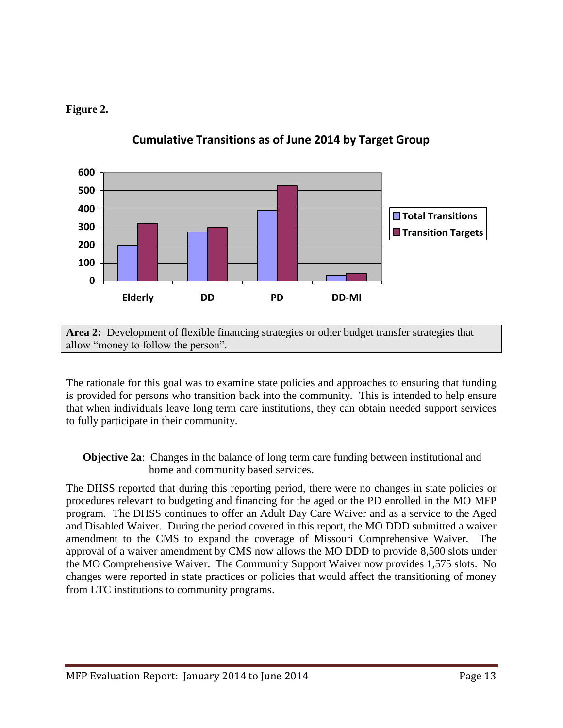#### **Figure 2.**



#### **Cumulative Transitions as of June 2014 by Target Group**

**Area 2:** Development of flexible financing strategies or other budget transfer strategies that allow "money to follow the person".

The rationale for this goal was to examine state policies and approaches to ensuring that funding is provided for persons who transition back into the community. This is intended to help ensure that when individuals leave long term care institutions, they can obtain needed support services to fully participate in their community.

**Objective 2a**: Changes in the balance of long term care funding between institutional and home and community based services.

The DHSS reported that during this reporting period, there were no changes in state policies or procedures relevant to budgeting and financing for the aged or the PD enrolled in the MO MFP program. The DHSS continues to offer an Adult Day Care Waiver and as a service to the Aged and Disabled Waiver. During the period covered in this report, the MO DDD submitted a waiver amendment to the CMS to expand the coverage of Missouri Comprehensive Waiver. The approval of a waiver amendment by CMS now allows the MO DDD to provide 8,500 slots under the MO Comprehensive Waiver. The Community Support Waiver now provides 1,575 slots. No changes were reported in state practices or policies that would affect the transitioning of money from LTC institutions to community programs.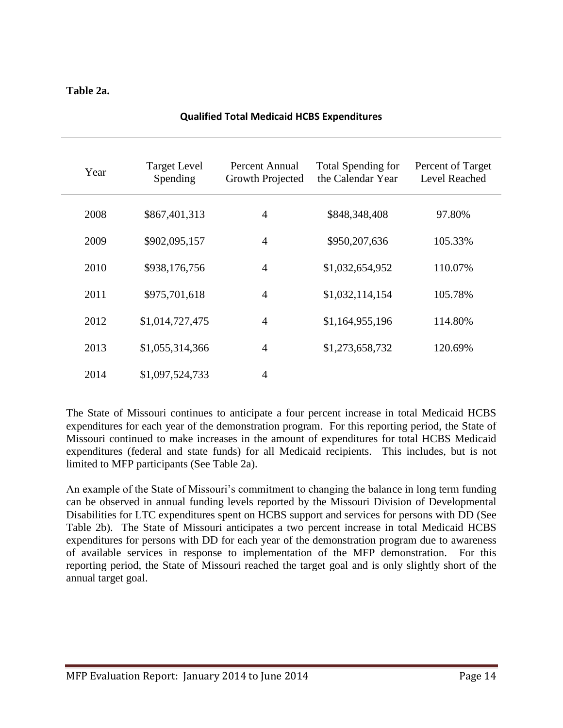#### **Table 2a.**

| Year | <b>Target Level</b><br>Spending | Percent Annual<br>Growth Projected | <b>Total Spending for</b><br>the Calendar Year | Percent of Target<br>Level Reached |
|------|---------------------------------|------------------------------------|------------------------------------------------|------------------------------------|
| 2008 | \$867,401,313                   | $\overline{4}$                     | \$848,348,408                                  | 97.80%                             |
| 2009 | \$902,095,157                   | $\overline{4}$                     | \$950,207,636                                  | 105.33%                            |
| 2010 | \$938,176,756                   | $\overline{4}$                     | \$1,032,654,952                                | 110.07%                            |
| 2011 | \$975,701,618                   | $\overline{4}$                     | \$1,032,114,154                                | 105.78%                            |
| 2012 | \$1,014,727,475                 | $\overline{4}$                     | \$1,164,955,196                                | 114.80%                            |
| 2013 | \$1,055,314,366                 | $\overline{4}$                     | \$1,273,658,732                                | 120.69%                            |
| 2014 | \$1,097,524,733                 | $\overline{4}$                     |                                                |                                    |

#### **Qualified Total Medicaid HCBS Expenditures**

The State of Missouri continues to anticipate a four percent increase in total Medicaid HCBS expenditures for each year of the demonstration program. For this reporting period, the State of Missouri continued to make increases in the amount of expenditures for total HCBS Medicaid expenditures (federal and state funds) for all Medicaid recipients. This includes, but is not limited to MFP participants (See Table 2a).

An example of the State of Missouri's commitment to changing the balance in long term funding can be observed in annual funding levels reported by the Missouri Division of Developmental Disabilities for LTC expenditures spent on HCBS support and services for persons with DD (See Table 2b). The State of Missouri anticipates a two percent increase in total Medicaid HCBS expenditures for persons with DD for each year of the demonstration program due to awareness of available services in response to implementation of the MFP demonstration. For this reporting period, the State of Missouri reached the target goal and is only slightly short of the annual target goal.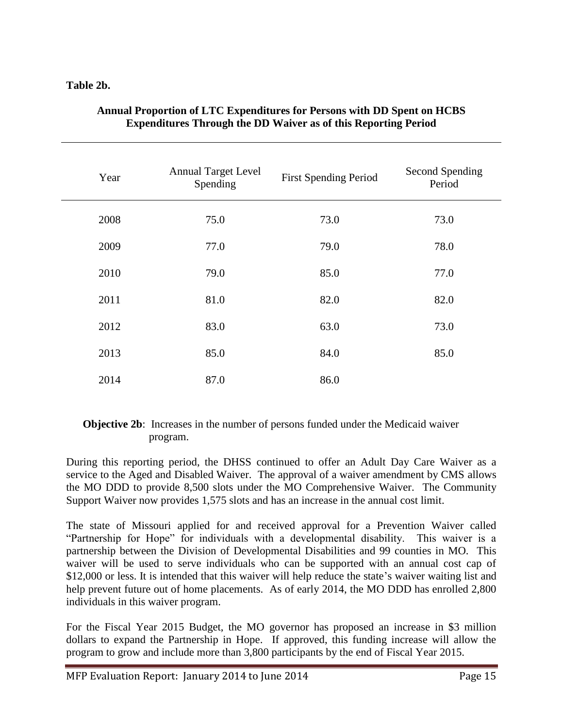#### **Table 2b.**

| Year | <b>Annual Target Level</b><br>Spending | <b>First Spending Period</b> | <b>Second Spending</b><br>Period |
|------|----------------------------------------|------------------------------|----------------------------------|
| 2008 | 75.0                                   | 73.0                         | 73.0                             |
| 2009 | 77.0                                   | 79.0                         | 78.0                             |
| 2010 | 79.0                                   | 85.0                         | 77.0                             |
| 2011 | 81.0                                   | 82.0                         | 82.0                             |
| 2012 | 83.0                                   | 63.0                         | 73.0                             |
| 2013 | 85.0                                   | 84.0                         | 85.0                             |
| 2014 | 87.0                                   | 86.0                         |                                  |

#### **Annual Proportion of LTC Expenditures for Persons with DD Spent on HCBS Expenditures Through the DD Waiver as of this Reporting Period**

#### **Objective 2b:** Increases in the number of persons funded under the Medicaid waiver program.

During this reporting period, the DHSS continued to offer an Adult Day Care Waiver as a service to the Aged and Disabled Waiver. The approval of a waiver amendment by CMS allows the MO DDD to provide 8,500 slots under the MO Comprehensive Waiver. The Community Support Waiver now provides 1,575 slots and has an increase in the annual cost limit.

The state of Missouri applied for and received approval for a Prevention Waiver called "Partnership for Hope" for individuals with a developmental disability. This waiver is a partnership between the Division of Developmental Disabilities and 99 counties in MO. This waiver will be used to serve individuals who can be supported with an annual cost cap of \$12,000 or less. It is intended that this waiver will help reduce the state's waiver waiting list and help prevent future out of home placements. As of early 2014, the MO DDD has enrolled 2,800 individuals in this waiver program.

For the Fiscal Year 2015 Budget, the MO governor has proposed an increase in \$3 million dollars to expand the Partnership in Hope. If approved, this funding increase will allow the program to grow and include more than 3,800 participants by the end of Fiscal Year 2015.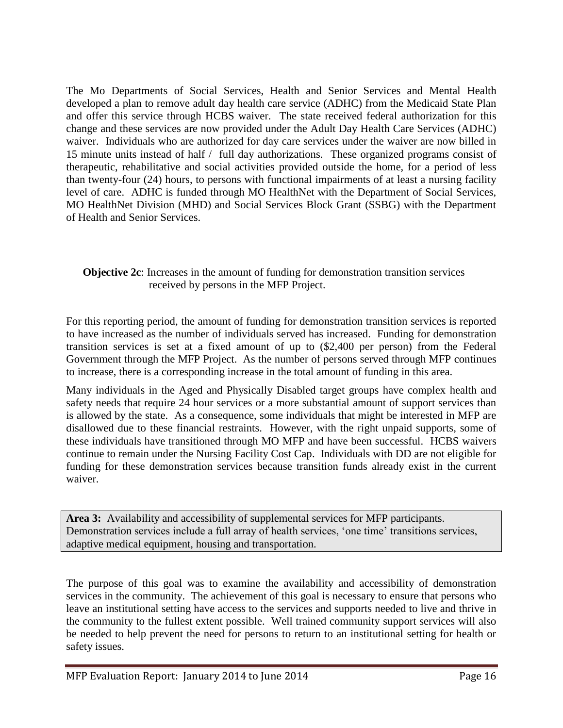The Mo Departments of Social Services, Health and Senior Services and Mental Health developed a plan to remove adult day health care service (ADHC) from the Medicaid State Plan and offer this service through HCBS waiver. The state received federal authorization for this change and these services are now provided under the Adult Day Health Care Services (ADHC) waiver. Individuals who are authorized for day care services under the waiver are now billed in 15 minute units instead of half / full day authorizations. These organized programs consist of therapeutic, rehabilitative and social activities provided outside the home, for a period of less than twenty-four (24) hours, to persons with functional impairments of at least a nursing facility level of care. ADHC is funded through MO HealthNet with the Department of Social Services, MO HealthNet Division (MHD) and Social Services Block Grant (SSBG) with the Department of Health and Senior Services.

#### **Objective 2c**: Increases in the amount of funding for demonstration transition services received by persons in the MFP Project.

For this reporting period, the amount of funding for demonstration transition services is reported to have increased as the number of individuals served has increased. Funding for demonstration transition services is set at a fixed amount of up to (\$2,400 per person) from the Federal Government through the MFP Project. As the number of persons served through MFP continues to increase, there is a corresponding increase in the total amount of funding in this area.

Many individuals in the Aged and Physically Disabled target groups have complex health and safety needs that require 24 hour services or a more substantial amount of support services than is allowed by the state. As a consequence, some individuals that might be interested in MFP are disallowed due to these financial restraints. However, with the right unpaid supports, some of these individuals have transitioned through MO MFP and have been successful. HCBS waivers continue to remain under the Nursing Facility Cost Cap. Individuals with DD are not eligible for funding for these demonstration services because transition funds already exist in the current waiver.

**Area 3:** Availability and accessibility of supplemental services for MFP participants. Demonstration services include a full array of health services, 'one time' transitions services, adaptive medical equipment, housing and transportation.

The purpose of this goal was to examine the availability and accessibility of demonstration services in the community. The achievement of this goal is necessary to ensure that persons who leave an institutional setting have access to the services and supports needed to live and thrive in the community to the fullest extent possible. Well trained community support services will also be needed to help prevent the need for persons to return to an institutional setting for health or safety issues.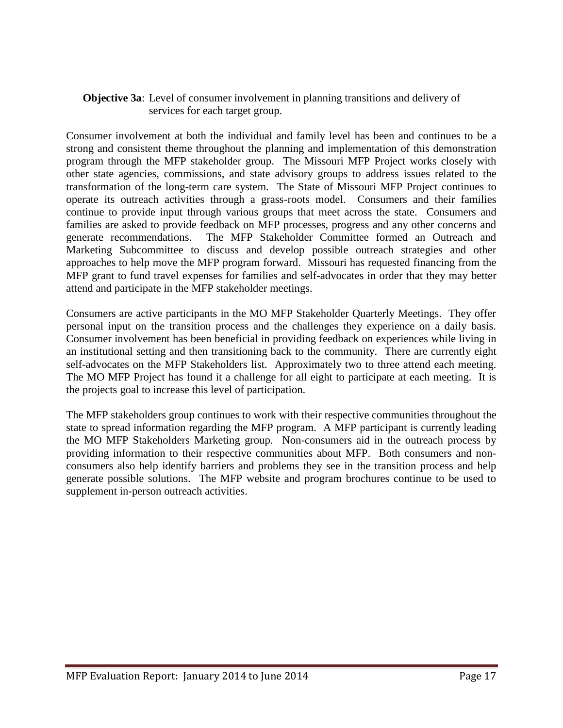#### **Objective 3a**: Level of consumer involvement in planning transitions and delivery of services for each target group.

Consumer involvement at both the individual and family level has been and continues to be a strong and consistent theme throughout the planning and implementation of this demonstration program through the MFP stakeholder group. The Missouri MFP Project works closely with other state agencies, commissions, and state advisory groups to address issues related to the transformation of the long-term care system. The State of Missouri MFP Project continues to operate its outreach activities through a grass-roots model. Consumers and their families continue to provide input through various groups that meet across the state. Consumers and families are asked to provide feedback on MFP processes, progress and any other concerns and generate recommendations. The MFP Stakeholder Committee formed an Outreach and Marketing Subcommittee to discuss and develop possible outreach strategies and other approaches to help move the MFP program forward. Missouri has requested financing from the MFP grant to fund travel expenses for families and self-advocates in order that they may better attend and participate in the MFP stakeholder meetings.

Consumers are active participants in the MO MFP Stakeholder Quarterly Meetings. They offer personal input on the transition process and the challenges they experience on a daily basis. Consumer involvement has been beneficial in providing feedback on experiences while living in an institutional setting and then transitioning back to the community. There are currently eight self-advocates on the MFP Stakeholders list. Approximately two to three attend each meeting. The MO MFP Project has found it a challenge for all eight to participate at each meeting. It is the projects goal to increase this level of participation.

The MFP stakeholders group continues to work with their respective communities throughout the state to spread information regarding the MFP program. A MFP participant is currently leading the MO MFP Stakeholders Marketing group. Non-consumers aid in the outreach process by providing information to their respective communities about MFP. Both consumers and nonconsumers also help identify barriers and problems they see in the transition process and help generate possible solutions. The MFP website and program brochures continue to be used to supplement in-person outreach activities.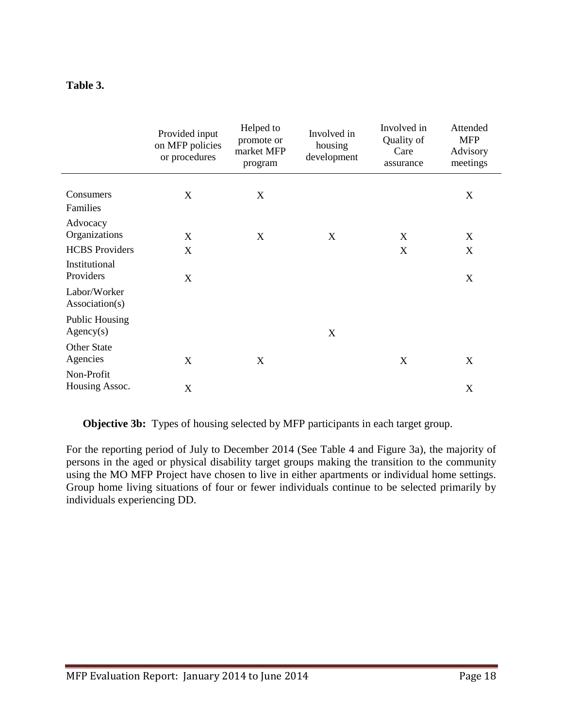#### **Table 3.**

|                                            | Provided input<br>on MFP policies<br>or procedures | Helped to<br>promote or<br>market MFP<br>program | Involved in<br>housing<br>development | Involved in<br>Quality of<br>Care<br>assurance | Attended<br><b>MFP</b><br>Advisory<br>meetings |
|--------------------------------------------|----------------------------------------------------|--------------------------------------------------|---------------------------------------|------------------------------------------------|------------------------------------------------|
| Consumers<br>Families                      | X                                                  | X                                                |                                       |                                                | X                                              |
| Advocacy<br>Organizations                  | X                                                  | X                                                | X                                     | X                                              | X                                              |
| <b>HCBS</b> Providers                      | X                                                  |                                                  |                                       | X                                              | X                                              |
| Institutional<br>Providers<br>Labor/Worker | X                                                  |                                                  |                                       |                                                | X                                              |
| Association(s)                             |                                                    |                                                  |                                       |                                                |                                                |
| <b>Public Housing</b><br>Agency(s)         |                                                    |                                                  | X                                     |                                                |                                                |
| <b>Other State</b><br>Agencies             | X                                                  | X                                                |                                       | X                                              | X                                              |
| Non-Profit<br>Housing Assoc.               | X                                                  |                                                  |                                       |                                                | X                                              |

**Objective 3b:** Types of housing selected by MFP participants in each target group.

For the reporting period of July to December 2014 (See Table 4 and Figure 3a), the majority of persons in the aged or physical disability target groups making the transition to the community using the MO MFP Project have chosen to live in either apartments or individual home settings. Group home living situations of four or fewer individuals continue to be selected primarily by individuals experiencing DD.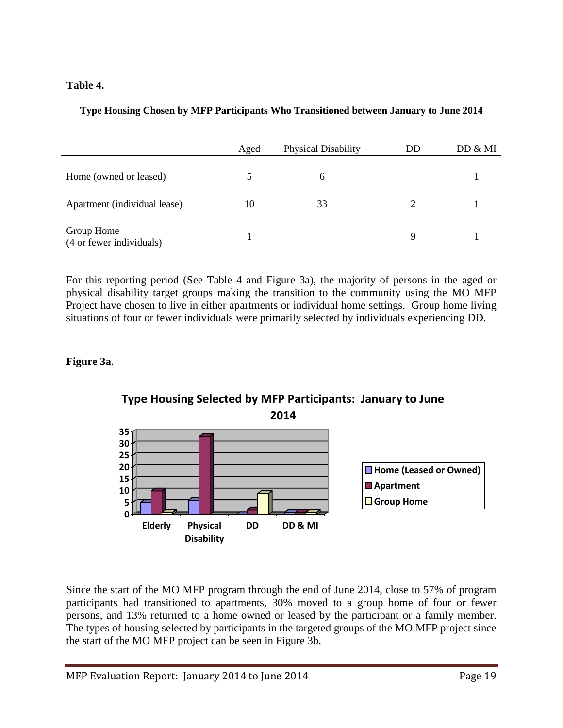#### **Table 4.**

|                                        | Aged | <b>Physical Disability</b> | DD | DD & MI |
|----------------------------------------|------|----------------------------|----|---------|
| Home (owned or leased)                 |      | 6                          |    |         |
| Apartment (individual lease)           | 10   | 33                         | 2  |         |
| Group Home<br>(4 or fewer individuals) |      |                            | 9  |         |

**Type Housing Chosen by MFP Participants Who Transitioned between January to June 2014**

For this reporting period (See Table 4 and Figure 3a), the majority of persons in the aged or physical disability target groups making the transition to the community using the MO MFP Project have chosen to live in either apartments or individual home settings. Group home living situations of four or fewer individuals were primarily selected by individuals experiencing DD.

#### **Figure 3a.**



# **Type Housing Selected by MFP Participants: January to June**

Since the start of the MO MFP program through the end of June 2014, close to 57% of program participants had transitioned to apartments, 30% moved to a group home of four or fewer persons, and 13% returned to a home owned or leased by the participant or a family member. The types of housing selected by participants in the targeted groups of the MO MFP project since the start of the MO MFP project can be seen in Figure 3b.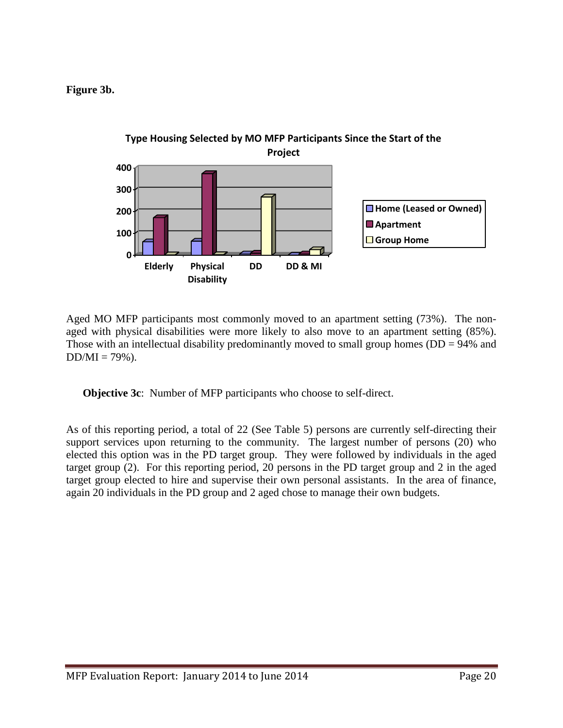**Figure 3b.**



Aged MO MFP participants most commonly moved to an apartment setting (73%). The nonaged with physical disabilities were more likely to also move to an apartment setting (85%). Those with an intellectual disability predominantly moved to small group homes ( $DD = 94\%$  and  $DD/MI = 79\%$ ).

**Objective 3c**: Number of MFP participants who choose to self-direct.

As of this reporting period, a total of 22 (See Table 5) persons are currently self-directing their support services upon returning to the community. The largest number of persons (20) who elected this option was in the PD target group. They were followed by individuals in the aged target group (2). For this reporting period, 20 persons in the PD target group and 2 in the aged target group elected to hire and supervise their own personal assistants. In the area of finance, again 20 individuals in the PD group and 2 aged chose to manage their own budgets.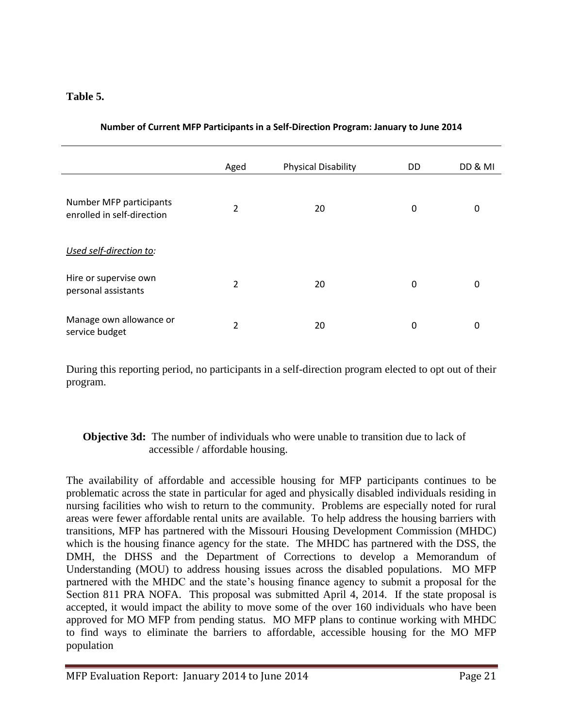#### **Table 5.**

|                                                       | Aged | <b>Physical Disability</b> | DD | DD & MI  |
|-------------------------------------------------------|------|----------------------------|----|----------|
| Number MFP participants<br>enrolled in self-direction | 2    | 20                         | 0  | $\Omega$ |
| Used self-direction to:                               |      |                            |    |          |
| Hire or supervise own<br>personal assistants          | 2    | 20                         | 0  | $\Omega$ |
| Manage own allowance or<br>service budget             | 2    | 20                         | 0  | 0        |

#### **Number of Current MFP Participants in a Self-Direction Program: January to June 2014**

During this reporting period, no participants in a self-direction program elected to opt out of their program.

#### **Objective 3d:** The number of individuals who were unable to transition due to lack of accessible / affordable housing.

The availability of affordable and accessible housing for MFP participants continues to be problematic across the state in particular for aged and physically disabled individuals residing in nursing facilities who wish to return to the community. Problems are especially noted for rural areas were fewer affordable rental units are available. To help address the housing barriers with transitions, MFP has partnered with the Missouri Housing Development Commission (MHDC) which is the housing finance agency for the state. The MHDC has partnered with the DSS, the DMH, the DHSS and the Department of Corrections to develop a Memorandum of Understanding (MOU) to address housing issues across the disabled populations. MO MFP partnered with the MHDC and the state's housing finance agency to submit a proposal for the Section 811 PRA NOFA. This proposal was submitted April 4, 2014. If the state proposal is accepted, it would impact the ability to move some of the over 160 individuals who have been approved for MO MFP from pending status. MO MFP plans to continue working with MHDC to find ways to eliminate the barriers to affordable, accessible housing for the MO MFP population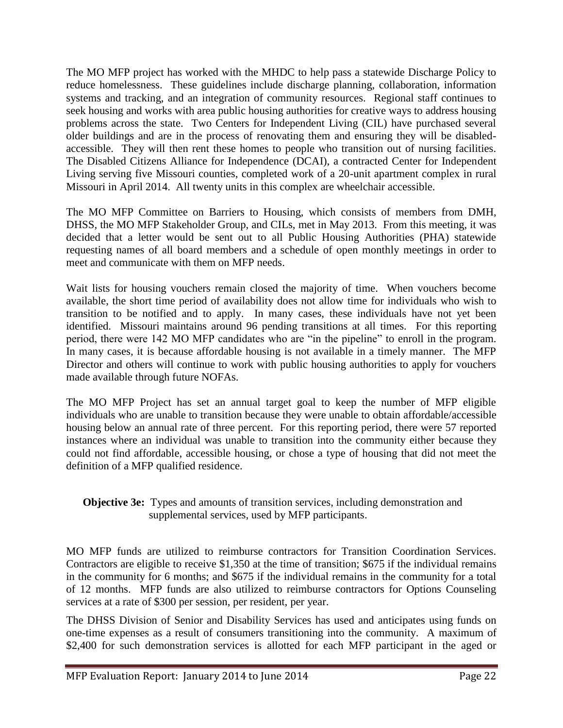The MO MFP project has worked with the MHDC to help pass a statewide Discharge Policy to reduce homelessness. These guidelines include discharge planning, collaboration, information systems and tracking, and an integration of community resources. Regional staff continues to seek housing and works with area public housing authorities for creative ways to address housing problems across the state. Two Centers for Independent Living (CIL) have purchased several older buildings and are in the process of renovating them and ensuring they will be disabledaccessible. They will then rent these homes to people who transition out of nursing facilities. The Disabled Citizens Alliance for Independence (DCAI), a contracted Center for Independent Living serving five Missouri counties, completed work of a 20-unit apartment complex in rural Missouri in April 2014. All twenty units in this complex are wheelchair accessible.

The MO MFP Committee on Barriers to Housing, which consists of members from DMH, DHSS, the MO MFP Stakeholder Group, and CILs, met in May 2013. From this meeting, it was decided that a letter would be sent out to all Public Housing Authorities (PHA) statewide requesting names of all board members and a schedule of open monthly meetings in order to meet and communicate with them on MFP needs.

Wait lists for housing vouchers remain closed the majority of time. When vouchers become available, the short time period of availability does not allow time for individuals who wish to transition to be notified and to apply. In many cases, these individuals have not yet been identified. Missouri maintains around 96 pending transitions at all times. For this reporting period, there were 142 MO MFP candidates who are "in the pipeline" to enroll in the program. In many cases, it is because affordable housing is not available in a timely manner. The MFP Director and others will continue to work with public housing authorities to apply for vouchers made available through future NOFAs.

The MO MFP Project has set an annual target goal to keep the number of MFP eligible individuals who are unable to transition because they were unable to obtain affordable/accessible housing below an annual rate of three percent. For this reporting period, there were 57 reported instances where an individual was unable to transition into the community either because they could not find affordable, accessible housing, or chose a type of housing that did not meet the definition of a MFP qualified residence.

**Objective 3e:** Types and amounts of transition services, including demonstration and supplemental services, used by MFP participants.

MO MFP funds are utilized to reimburse contractors for Transition Coordination Services. Contractors are eligible to receive \$1,350 at the time of transition; \$675 if the individual remains in the community for 6 months; and \$675 if the individual remains in the community for a total of 12 months. MFP funds are also utilized to reimburse contractors for Options Counseling services at a rate of \$300 per session, per resident, per year.

The DHSS Division of Senior and Disability Services has used and anticipates using funds on one-time expenses as a result of consumers transitioning into the community. A maximum of \$2,400 for such demonstration services is allotted for each MFP participant in the aged or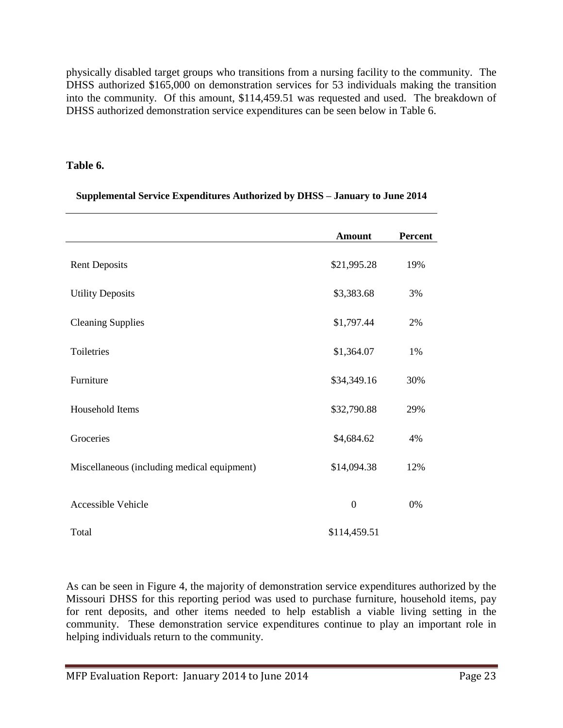physically disabled target groups who transitions from a nursing facility to the community. The DHSS authorized \$165,000 on demonstration services for 53 individuals making the transition into the community. Of this amount, \$114,459.51 was requested and used. The breakdown of DHSS authorized demonstration service expenditures can be seen below in Table 6.

#### **Table 6.**

|  |  | Supplemental Service Expenditures Authorized by DHSS – January to June 2014 |  |
|--|--|-----------------------------------------------------------------------------|--|
|--|--|-----------------------------------------------------------------------------|--|

|                                             | <b>Amount</b> | Percent |
|---------------------------------------------|---------------|---------|
| <b>Rent Deposits</b>                        | \$21,995.28   | 19%     |
| <b>Utility Deposits</b>                     | \$3,383.68    | 3%      |
| <b>Cleaning Supplies</b>                    | \$1,797.44    | 2%      |
| Toiletries                                  | \$1,364.07    | 1%      |
| Furniture                                   | \$34,349.16   | 30%     |
| Household Items                             | \$32,790.88   | 29%     |
| Groceries                                   | \$4,684.62    | 4%      |
| Miscellaneous (including medical equipment) | \$14,094.38   | 12%     |
| Accessible Vehicle                          | $\mathbf{0}$  | 0%      |
| Total                                       | \$114,459.51  |         |

As can be seen in Figure 4, the majority of demonstration service expenditures authorized by the Missouri DHSS for this reporting period was used to purchase furniture, household items, pay for rent deposits, and other items needed to help establish a viable living setting in the community. These demonstration service expenditures continue to play an important role in helping individuals return to the community.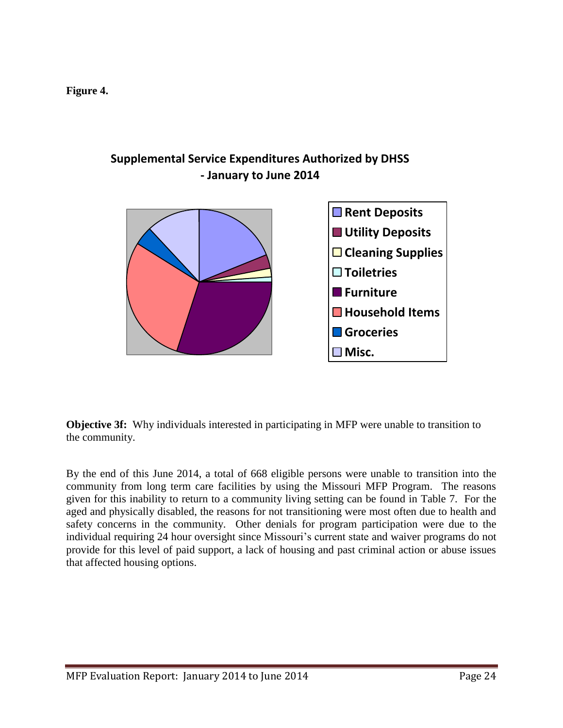**Figure 4.**



## **Supplemental Service Expenditures Authorized by DHSS - January to June 2014**

**Objective 3f:** Why individuals interested in participating in MFP were unable to transition to the community.

By the end of this June 2014, a total of 668 eligible persons were unable to transition into the community from long term care facilities by using the Missouri MFP Program. The reasons given for this inability to return to a community living setting can be found in Table 7. For the aged and physically disabled, the reasons for not transitioning were most often due to health and safety concerns in the community. Other denials for program participation were due to the individual requiring 24 hour oversight since Missouri's current state and waiver programs do not provide for this level of paid support, a lack of housing and past criminal action or abuse issues that affected housing options.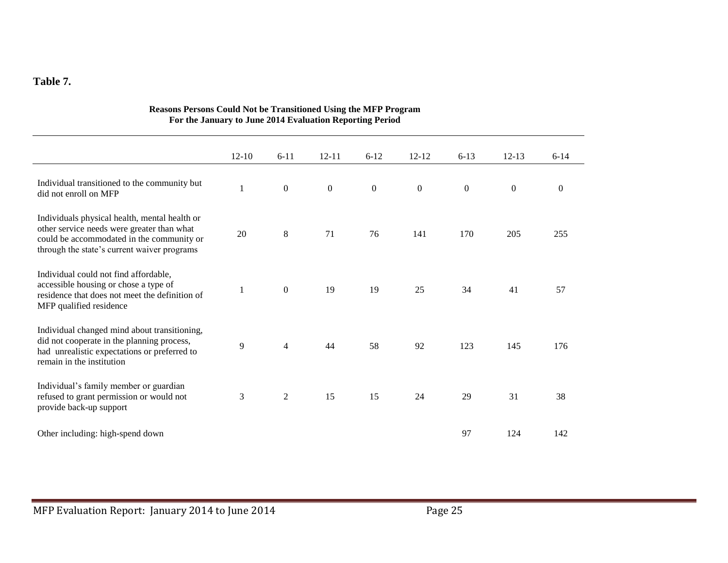#### **Table 7.**

|                                                                                                                                                                                         | $12 - 10$    | $6 - 11$         | $12 - 11$        | $6 - 12$     | $12 - 12$    | $6 - 13$     | $12 - 13$    | $6 - 14$       |
|-----------------------------------------------------------------------------------------------------------------------------------------------------------------------------------------|--------------|------------------|------------------|--------------|--------------|--------------|--------------|----------------|
| Individual transitioned to the community but<br>did not enroll on MFP                                                                                                                   | $\mathbf{1}$ | $\boldsymbol{0}$ | $\boldsymbol{0}$ | $\mathbf{0}$ | $\mathbf{0}$ | $\mathbf{0}$ | $\mathbf{0}$ | $\overline{0}$ |
| Individuals physical health, mental health or<br>other service needs were greater than what<br>could be accommodated in the community or<br>through the state's current waiver programs | 20           | $\,8\,$          | 71               | 76           | 141          | 170          | 205          | 255            |
| Individual could not find affordable,<br>accessible housing or chose a type of<br>residence that does not meet the definition of<br>MFP qualified residence                             |              | $\boldsymbol{0}$ | 19               | 19           | 25           | 34           | 41           | 57             |
| Individual changed mind about transitioning,<br>did not cooperate in the planning process,<br>had unrealistic expectations or preferred to<br>remain in the institution                 | 9            | $\overline{4}$   | 44               | 58           | 92           | 123          | 145          | 176            |
| Individual's family member or guardian<br>refused to grant permission or would not<br>provide back-up support                                                                           | 3            | $\overline{c}$   | 15               | 15           | 24           | 29           | 31           | 38             |
| Other including: high-spend down                                                                                                                                                        |              |                  |                  |              |              | 97           | 124          | 142            |

#### **Reasons Persons Could Not be Transitioned Using the MFP Program For the January to June 2014 Evaluation Reporting Period**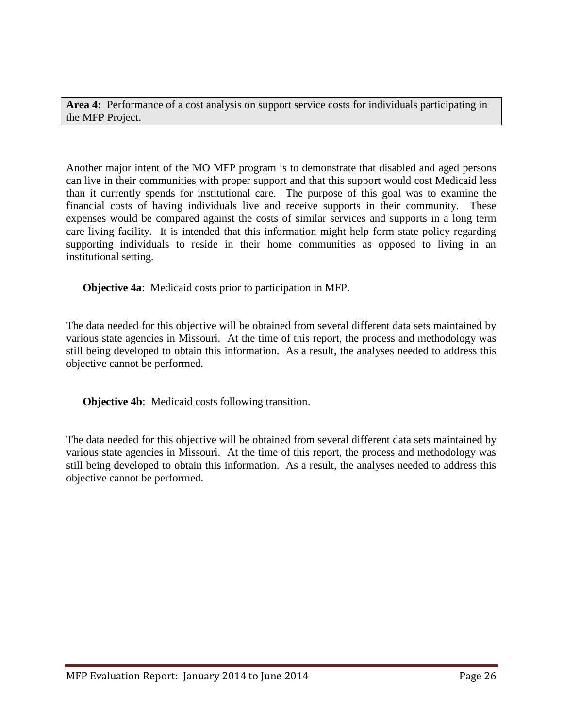**Area 4:** Performance of a cost analysis on support service costs for individuals participating in the MFP Project.

Another major intent of the MO MFP program is to demonstrate that disabled and aged persons can live in their communities with proper support and that this support would cost Medicaid less than it currently spends for institutional care. The purpose of this goal was to examine the financial costs of having individuals live and receive supports in their community. These expenses would be compared against the costs of similar services and supports in a long term care living facility. It is intended that this information might help form state policy regarding supporting individuals to reside in their home communities as opposed to living in an institutional setting.

**Objective 4a**: Medicaid costs prior to participation in MFP.

The data needed for this objective will be obtained from several different data sets maintained by various state agencies in Missouri. At the time of this report, the process and methodology was still being developed to obtain this information. As a result, the analyses needed to address this objective cannot be performed.

**Objective 4b**: Medicaid costs following transition.

The data needed for this objective will be obtained from several different data sets maintained by various state agencies in Missouri. At the time of this report, the process and methodology was still being developed to obtain this information. As a result, the analyses needed to address this objective cannot be performed.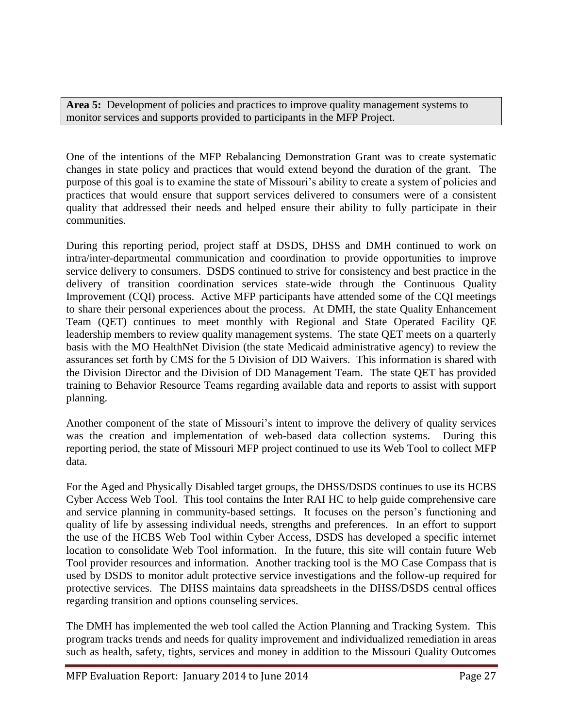**Area 5:** Development of policies and practices to improve quality management systems to monitor services and supports provided to participants in the MFP Project.

One of the intentions of the MFP Rebalancing Demonstration Grant was to create systematic changes in state policy and practices that would extend beyond the duration of the grant. The purpose of this goal is to examine the state of Missouri's ability to create a system of policies and practices that would ensure that support services delivered to consumers were of a consistent quality that addressed their needs and helped ensure their ability to fully participate in their communities.

During this reporting period, project staff at DSDS, DHSS and DMH continued to work on intra/inter-departmental communication and coordination to provide opportunities to improve service delivery to consumers. DSDS continued to strive for consistency and best practice in the delivery of transition coordination services state-wide through the Continuous Quality Improvement (CQI) process. Active MFP participants have attended some of the CQI meetings to share their personal experiences about the process. At DMH, the state Quality Enhancement Team (QET) continues to meet monthly with Regional and State Operated Facility QE leadership members to review quality management systems. The state QET meets on a quarterly basis with the MO HealthNet Division (the state Medicaid administrative agency) to review the assurances set forth by CMS for the 5 Division of DD Waivers. This information is shared with the Division Director and the Division of DD Management Team. The state QET has provided training to Behavior Resource Teams regarding available data and reports to assist with support planning.

Another component of the state of Missouri's intent to improve the delivery of quality services was the creation and implementation of web-based data collection systems. During this reporting period, the state of Missouri MFP project continued to use its Web Tool to collect MFP data.

For the Aged and Physically Disabled target groups, the DHSS/DSDS continues to use its HCBS Cyber Access Web Tool. This tool contains the Inter RAI HC to help guide comprehensive care and service planning in community-based settings. It focuses on the person's functioning and quality of life by assessing individual needs, strengths and preferences. In an effort to support the use of the HCBS Web Tool within Cyber Access, DSDS has developed a specific internet location to consolidate Web Tool information. In the future, this site will contain future Web Tool provider resources and information. Another tracking tool is the MO Case Compass that is used by DSDS to monitor adult protective service investigations and the follow-up required for protective services. The DHSS maintains data spreadsheets in the DHSS/DSDS central offices regarding transition and options counseling services.

The DMH has implemented the web tool called the Action Planning and Tracking System. This program tracks trends and needs for quality improvement and individualized remediation in areas such as health, safety, tights, services and money in addition to the Missouri Quality Outcomes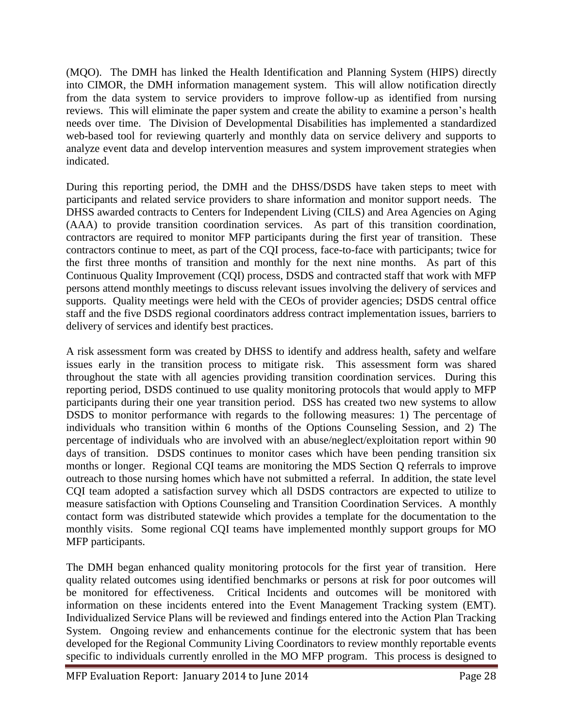(MQO). The DMH has linked the Health Identification and Planning System (HIPS) directly into CIMOR, the DMH information management system. This will allow notification directly from the data system to service providers to improve follow-up as identified from nursing reviews. This will eliminate the paper system and create the ability to examine a person's health needs over time. The Division of Developmental Disabilities has implemented a standardized web-based tool for reviewing quarterly and monthly data on service delivery and supports to analyze event data and develop intervention measures and system improvement strategies when indicated.

During this reporting period, the DMH and the DHSS/DSDS have taken steps to meet with participants and related service providers to share information and monitor support needs. The DHSS awarded contracts to Centers for Independent Living (CILS) and Area Agencies on Aging (AAA) to provide transition coordination services. As part of this transition coordination, contractors are required to monitor MFP participants during the first year of transition. These contractors continue to meet, as part of the CQI process, face-to-face with participants; twice for the first three months of transition and monthly for the next nine months. As part of this Continuous Quality Improvement (CQI) process, DSDS and contracted staff that work with MFP persons attend monthly meetings to discuss relevant issues involving the delivery of services and supports. Quality meetings were held with the CEOs of provider agencies; DSDS central office staff and the five DSDS regional coordinators address contract implementation issues, barriers to delivery of services and identify best practices.

A risk assessment form was created by DHSS to identify and address health, safety and welfare issues early in the transition process to mitigate risk. This assessment form was shared throughout the state with all agencies providing transition coordination services. During this reporting period, DSDS continued to use quality monitoring protocols that would apply to MFP participants during their one year transition period. DSS has created two new systems to allow DSDS to monitor performance with regards to the following measures: 1) The percentage of individuals who transition within 6 months of the Options Counseling Session, and 2) The percentage of individuals who are involved with an abuse/neglect/exploitation report within 90 days of transition. DSDS continues to monitor cases which have been pending transition six months or longer. Regional CQI teams are monitoring the MDS Section Q referrals to improve outreach to those nursing homes which have not submitted a referral. In addition, the state level CQI team adopted a satisfaction survey which all DSDS contractors are expected to utilize to measure satisfaction with Options Counseling and Transition Coordination Services. A monthly contact form was distributed statewide which provides a template for the documentation to the monthly visits. Some regional CQI teams have implemented monthly support groups for MO MFP participants.

The DMH began enhanced quality monitoring protocols for the first year of transition. Here quality related outcomes using identified benchmarks or persons at risk for poor outcomes will be monitored for effectiveness. Critical Incidents and outcomes will be monitored with information on these incidents entered into the Event Management Tracking system (EMT). Individualized Service Plans will be reviewed and findings entered into the Action Plan Tracking System. Ongoing review and enhancements continue for the electronic system that has been developed for the Regional Community Living Coordinators to review monthly reportable events specific to individuals currently enrolled in the MO MFP program. This process is designed to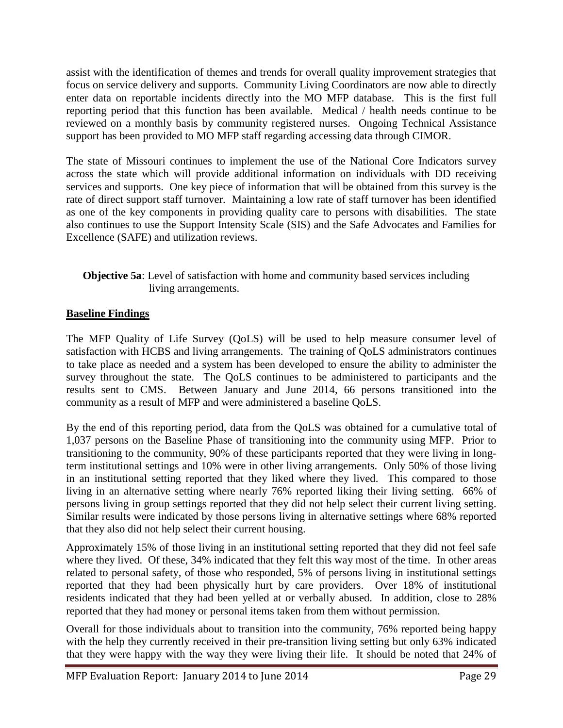assist with the identification of themes and trends for overall quality improvement strategies that focus on service delivery and supports. Community Living Coordinators are now able to directly enter data on reportable incidents directly into the MO MFP database. This is the first full reporting period that this function has been available. Medical / health needs continue to be reviewed on a monthly basis by community registered nurses. Ongoing Technical Assistance support has been provided to MO MFP staff regarding accessing data through CIMOR.

The state of Missouri continues to implement the use of the National Core Indicators survey across the state which will provide additional information on individuals with DD receiving services and supports. One key piece of information that will be obtained from this survey is the rate of direct support staff turnover. Maintaining a low rate of staff turnover has been identified as one of the key components in providing quality care to persons with disabilities. The state also continues to use the Support Intensity Scale (SIS) and the Safe Advocates and Families for Excellence (SAFE) and utilization reviews.

#### **Objective 5a**: Level of satisfaction with home and community based services including living arrangements.

#### **Baseline Findings**

The MFP Quality of Life Survey (QoLS) will be used to help measure consumer level of satisfaction with HCBS and living arrangements. The training of QoLS administrators continues to take place as needed and a system has been developed to ensure the ability to administer the survey throughout the state. The QoLS continues to be administered to participants and the results sent to CMS. Between January and June 2014, 66 persons transitioned into the community as a result of MFP and were administered a baseline QoLS.

By the end of this reporting period, data from the QoLS was obtained for a cumulative total of 1,037 persons on the Baseline Phase of transitioning into the community using MFP. Prior to transitioning to the community, 90% of these participants reported that they were living in longterm institutional settings and 10% were in other living arrangements. Only 50% of those living in an institutional setting reported that they liked where they lived. This compared to those living in an alternative setting where nearly 76% reported liking their living setting. 66% of persons living in group settings reported that they did not help select their current living setting. Similar results were indicated by those persons living in alternative settings where 68% reported that they also did not help select their current housing.

Approximately 15% of those living in an institutional setting reported that they did not feel safe where they lived. Of these, 34% indicated that they felt this way most of the time. In other areas related to personal safety, of those who responded, 5% of persons living in institutional settings reported that they had been physically hurt by care providers. Over 18% of institutional residents indicated that they had been yelled at or verbally abused. In addition, close to 28% reported that they had money or personal items taken from them without permission.

Overall for those individuals about to transition into the community, 76% reported being happy with the help they currently received in their pre-transition living setting but only 63% indicated that they were happy with the way they were living their life. It should be noted that 24% of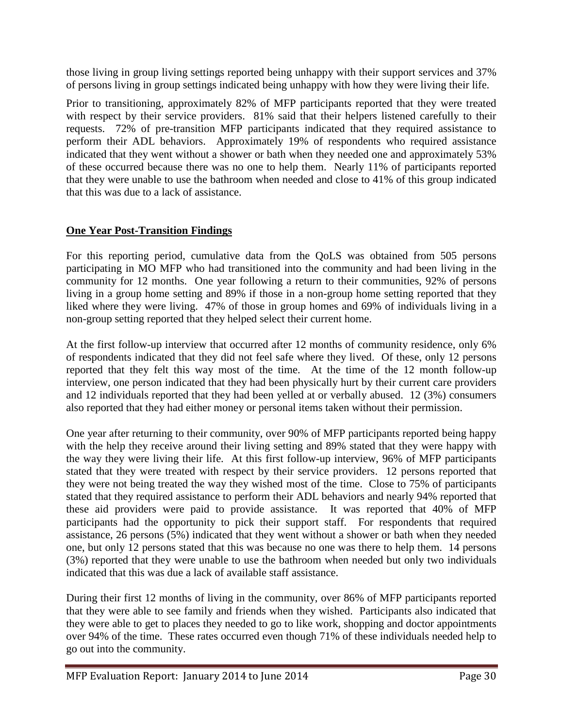those living in group living settings reported being unhappy with their support services and 37% of persons living in group settings indicated being unhappy with how they were living their life.

Prior to transitioning, approximately 82% of MFP participants reported that they were treated with respect by their service providers. 81% said that their helpers listened carefully to their requests. 72% of pre-transition MFP participants indicated that they required assistance to perform their ADL behaviors. Approximately 19% of respondents who required assistance indicated that they went without a shower or bath when they needed one and approximately 53% of these occurred because there was no one to help them. Nearly 11% of participants reported that they were unable to use the bathroom when needed and close to 41% of this group indicated that this was due to a lack of assistance.

#### **One Year Post-Transition Findings**

For this reporting period, cumulative data from the QoLS was obtained from 505 persons participating in MO MFP who had transitioned into the community and had been living in the community for 12 months. One year following a return to their communities, 92% of persons living in a group home setting and 89% if those in a non-group home setting reported that they liked where they were living. 47% of those in group homes and 69% of individuals living in a non-group setting reported that they helped select their current home.

At the first follow-up interview that occurred after 12 months of community residence, only 6% of respondents indicated that they did not feel safe where they lived. Of these, only 12 persons reported that they felt this way most of the time. At the time of the 12 month follow-up interview, one person indicated that they had been physically hurt by their current care providers and 12 individuals reported that they had been yelled at or verbally abused. 12 (3%) consumers also reported that they had either money or personal items taken without their permission.

One year after returning to their community, over 90% of MFP participants reported being happy with the help they receive around their living setting and 89% stated that they were happy with the way they were living their life. At this first follow-up interview, 96% of MFP participants stated that they were treated with respect by their service providers. 12 persons reported that they were not being treated the way they wished most of the time. Close to 75% of participants stated that they required assistance to perform their ADL behaviors and nearly 94% reported that these aid providers were paid to provide assistance. It was reported that 40% of MFP participants had the opportunity to pick their support staff. For respondents that required assistance, 26 persons (5%) indicated that they went without a shower or bath when they needed one, but only 12 persons stated that this was because no one was there to help them. 14 persons (3%) reported that they were unable to use the bathroom when needed but only two individuals indicated that this was due a lack of available staff assistance.

During their first 12 months of living in the community, over 86% of MFP participants reported that they were able to see family and friends when they wished. Participants also indicated that they were able to get to places they needed to go to like work, shopping and doctor appointments over 94% of the time. These rates occurred even though 71% of these individuals needed help to go out into the community.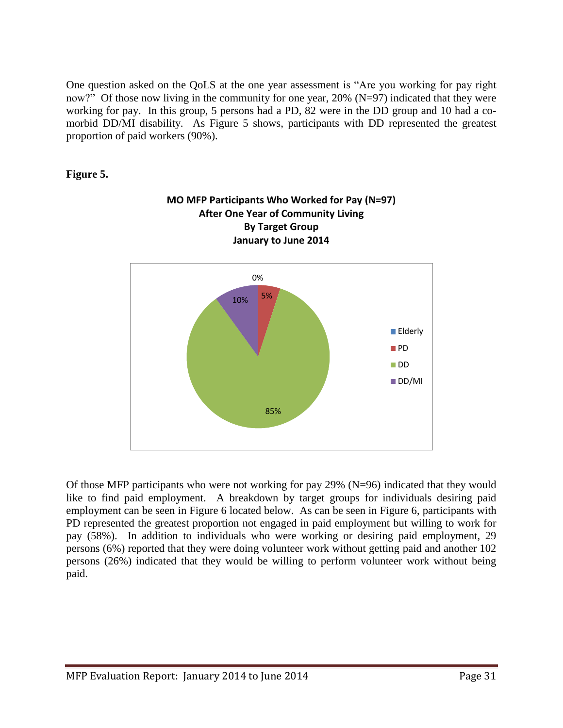One question asked on the QoLS at the one year assessment is "Are you working for pay right now?" Of those now living in the community for one year, 20% (N=97) indicated that they were working for pay. In this group, 5 persons had a PD, 82 were in the DD group and 10 had a comorbid DD/MI disability. As Figure 5 shows, participants with DD represented the greatest proportion of paid workers (90%).

#### **Figure 5.**



Of those MFP participants who were not working for pay 29% (N=96) indicated that they would like to find paid employment. A breakdown by target groups for individuals desiring paid employment can be seen in Figure 6 located below. As can be seen in Figure 6, participants with PD represented the greatest proportion not engaged in paid employment but willing to work for pay (58%). In addition to individuals who were working or desiring paid employment, 29 persons (6%) reported that they were doing volunteer work without getting paid and another 102 persons (26%) indicated that they would be willing to perform volunteer work without being paid.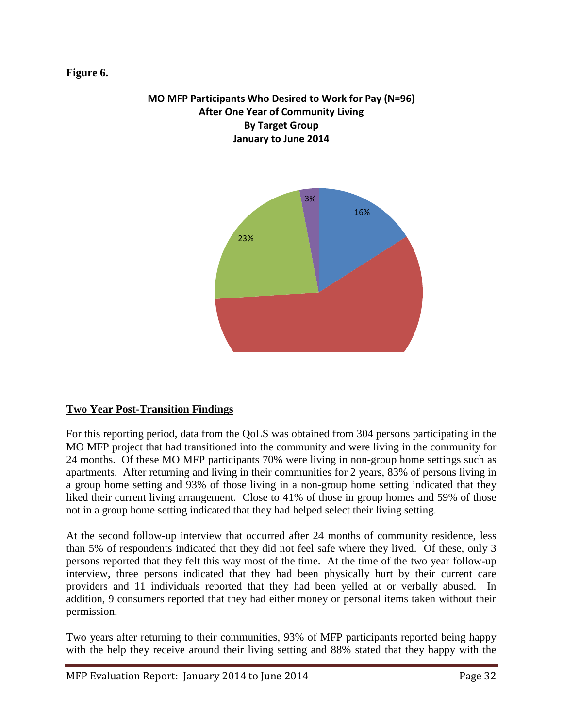#### **Figure 6.**

#### **MO MFP Participants Who Desired to Work for Pay (N=96) After One Year of Community Living By Target Group January to June 2014**



#### **Two Year Post-Transition Findings**

For this reporting period, data from the QoLS was obtained from 304 persons participating in the MO MFP project that had transitioned into the community and were living in the community for 24 months. Of these MO MFP participants 70% were living in non-group home settings such as apartments. After returning and living in their communities for 2 years, 83% of persons living in a group home setting and 93% of those living in a non-group home setting indicated that they liked their current living arrangement. Close to 41% of those in group homes and 59% of those not in a group home setting indicated that they had helped select their living setting.

At the second follow-up interview that occurred after 24 months of community residence, less than 5% of respondents indicated that they did not feel safe where they lived. Of these, only 3 persons reported that they felt this way most of the time. At the time of the two year follow-up interview, three persons indicated that they had been physically hurt by their current care providers and 11 individuals reported that they had been yelled at or verbally abused. In addition, 9 consumers reported that they had either money or personal items taken without their permission.

Two years after returning to their communities, 93% of MFP participants reported being happy with the help they receive around their living setting and 88% stated that they happy with the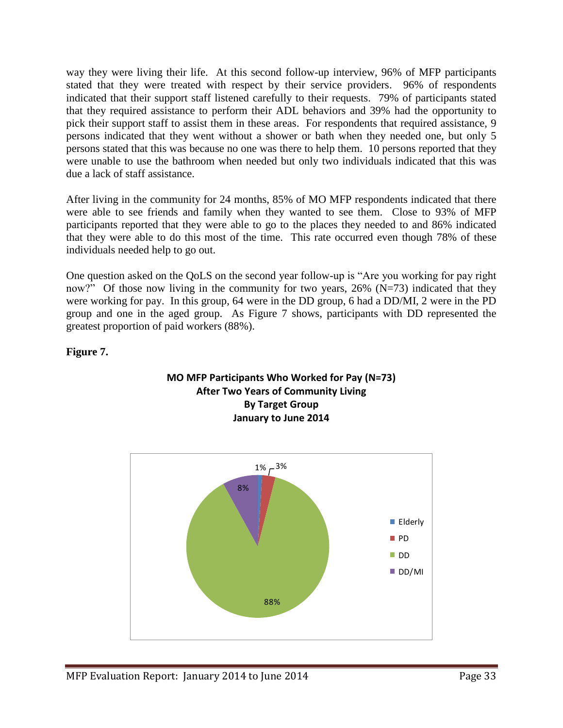way they were living their life. At this second follow-up interview, 96% of MFP participants stated that they were treated with respect by their service providers. 96% of respondents indicated that their support staff listened carefully to their requests. 79% of participants stated that they required assistance to perform their ADL behaviors and 39% had the opportunity to pick their support staff to assist them in these areas. For respondents that required assistance, 9 persons indicated that they went without a shower or bath when they needed one, but only 5 persons stated that this was because no one was there to help them. 10 persons reported that they were unable to use the bathroom when needed but only two individuals indicated that this was due a lack of staff assistance.

After living in the community for 24 months, 85% of MO MFP respondents indicated that there were able to see friends and family when they wanted to see them. Close to 93% of MFP participants reported that they were able to go to the places they needed to and 86% indicated that they were able to do this most of the time. This rate occurred even though 78% of these individuals needed help to go out.

One question asked on the QoLS on the second year follow-up is "Are you working for pay right now?" Of those now living in the community for two years,  $26\%$  (N=73) indicated that they were working for pay. In this group, 64 were in the DD group, 6 had a DD/MI, 2 were in the PD group and one in the aged group. As Figure 7 shows, participants with DD represented the greatest proportion of paid workers (88%).

#### **Figure 7.**



## **After Two Years of Community Living By Target Group January to June 2014**

**MO MFP Participants Who Worked for Pay (N=73)**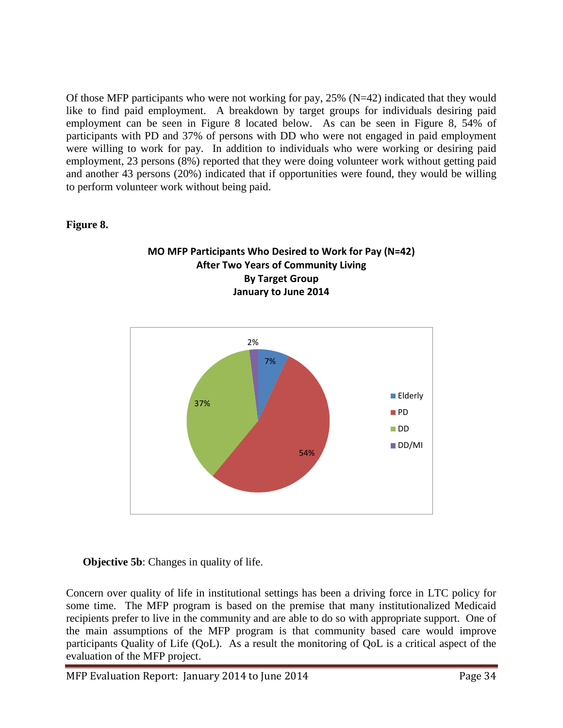Of those MFP participants who were not working for pay,  $25\%$  (N=42) indicated that they would like to find paid employment. A breakdown by target groups for individuals desiring paid employment can be seen in Figure 8 located below. As can be seen in Figure 8, 54% of participants with PD and 37% of persons with DD who were not engaged in paid employment were willing to work for pay. In addition to individuals who were working or desiring paid employment, 23 persons (8%) reported that they were doing volunteer work without getting paid and another 43 persons (20%) indicated that if opportunities were found, they would be willing to perform volunteer work without being paid.

#### **Figure 8.**





#### **Objective 5b:** Changes in quality of life.

Concern over quality of life in institutional settings has been a driving force in LTC policy for some time. The MFP program is based on the premise that many institutionalized Medicaid recipients prefer to live in the community and are able to do so with appropriate support. One of the main assumptions of the MFP program is that community based care would improve participants Quality of Life (QoL). As a result the monitoring of QoL is a critical aspect of the evaluation of the MFP project.

MFP Evaluation Report: January 2014 to June 2014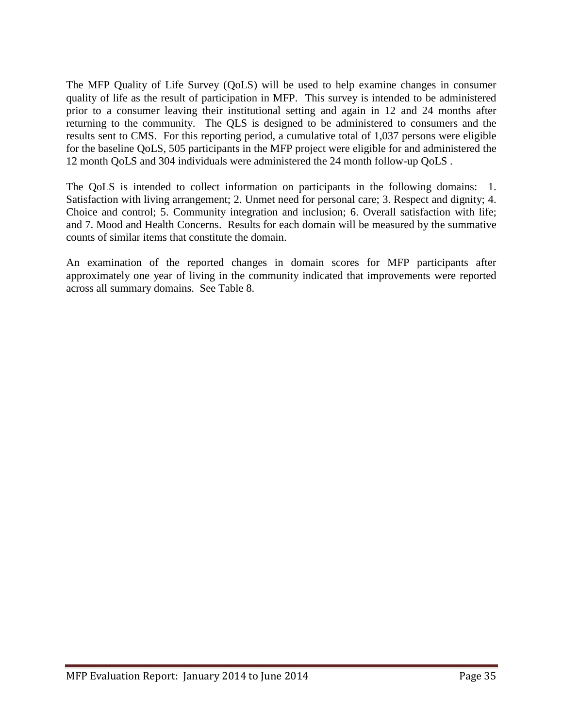The MFP Quality of Life Survey (QoLS) will be used to help examine changes in consumer quality of life as the result of participation in MFP. This survey is intended to be administered prior to a consumer leaving their institutional setting and again in 12 and 24 months after returning to the community. The QLS is designed to be administered to consumers and the results sent to CMS. For this reporting period, a cumulative total of 1,037 persons were eligible for the baseline QoLS, 505 participants in the MFP project were eligible for and administered the 12 month QoLS and 304 individuals were administered the 24 month follow-up QoLS .

The QoLS is intended to collect information on participants in the following domains: 1. Satisfaction with living arrangement; 2. Unmet need for personal care; 3. Respect and dignity; 4. Choice and control; 5. Community integration and inclusion; 6. Overall satisfaction with life; and 7. Mood and Health Concerns. Results for each domain will be measured by the summative counts of similar items that constitute the domain.

An examination of the reported changes in domain scores for MFP participants after approximately one year of living in the community indicated that improvements were reported across all summary domains. See Table 8.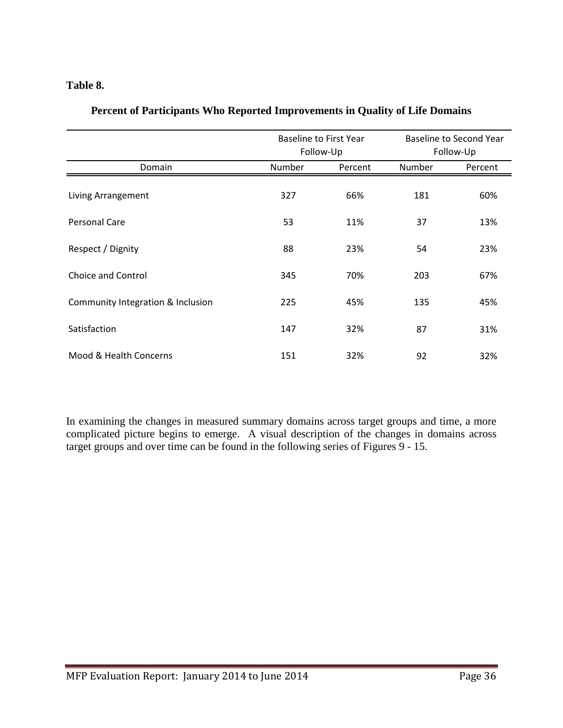#### **Table 8.**

|                                   | <b>Baseline to First Year</b><br>Follow-Up |         | Baseline to Second Year<br>Follow-Up |         |
|-----------------------------------|--------------------------------------------|---------|--------------------------------------|---------|
| Domain                            | Number                                     | Percent | Number                               | Percent |
| Living Arrangement                | 327                                        | 66%     | 181                                  | 60%     |
| Personal Care                     | 53                                         | 11%     | 37                                   | 13%     |
| Respect / Dignity                 | 88                                         | 23%     | 54                                   | 23%     |
| Choice and Control                | 345                                        | 70%     | 203                                  | 67%     |
| Community Integration & Inclusion | 225                                        | 45%     | 135                                  | 45%     |
| Satisfaction                      | 147                                        | 32%     | 87                                   | 31%     |
| Mood & Health Concerns            | 151                                        | 32%     | 92                                   | 32%     |

#### **Percent of Participants Who Reported Improvements in Quality of Life Domains**

In examining the changes in measured summary domains across target groups and time, a more complicated picture begins to emerge. A visual description of the changes in domains across target groups and over time can be found in the following series of Figures 9 - 15.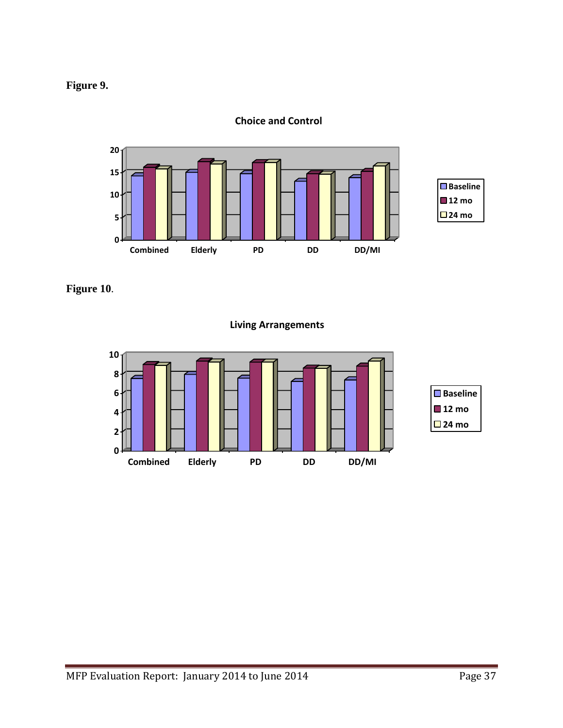



**Choice and Control**

**Figure 10**.

**Living Arrangements**

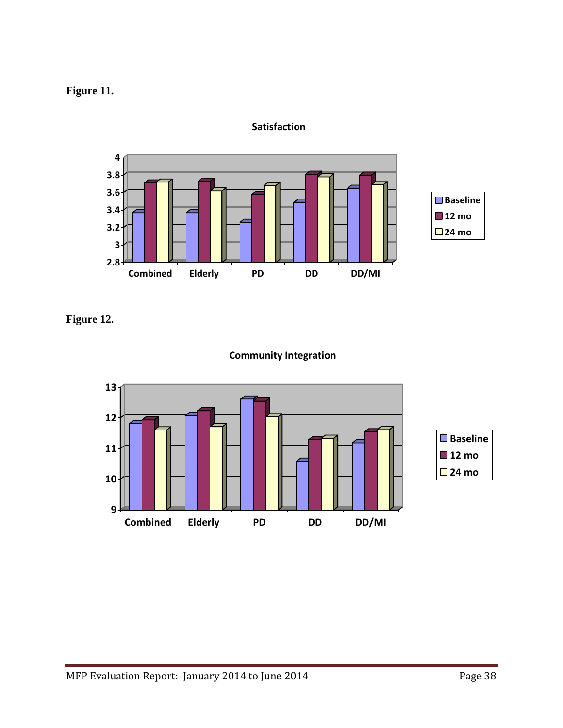



**Satisfaction**

**Figure 12.**



#### **Community Integration**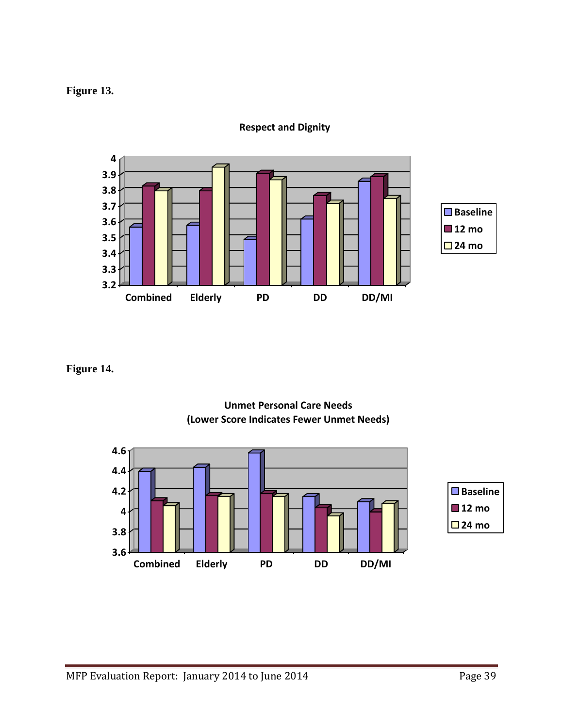#### **Figure 13.**



**Respect and Dignity**

#### **Figure 14.**



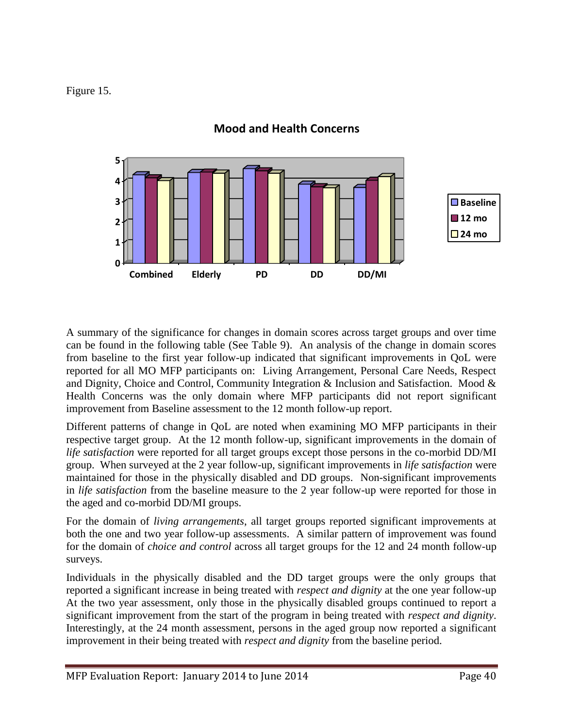Figure 15.



#### **Mood and Health Concerns**

A summary of the significance for changes in domain scores across target groups and over time can be found in the following table (See Table 9). An analysis of the change in domain scores from baseline to the first year follow-up indicated that significant improvements in QoL were reported for all MO MFP participants on: Living Arrangement, Personal Care Needs, Respect and Dignity, Choice and Control, Community Integration & Inclusion and Satisfaction. Mood & Health Concerns was the only domain where MFP participants did not report significant improvement from Baseline assessment to the 12 month follow-up report.

Different patterns of change in QoL are noted when examining MO MFP participants in their respective target group. At the 12 month follow-up, significant improvements in the domain of *life satisfaction* were reported for all target groups except those persons in the co-morbid DD/MI group. When surveyed at the 2 year follow-up, significant improvements in *life satisfaction* were maintained for those in the physically disabled and DD groups. Non-significant improvements in *life satisfaction* from the baseline measure to the 2 year follow-up were reported for those in the aged and co-morbid DD/MI groups.

For the domain of *living arrangements*, all target groups reported significant improvements at both the one and two year follow-up assessments. A similar pattern of improvement was found for the domain of *choice and control* across all target groups for the 12 and 24 month follow-up surveys.

Individuals in the physically disabled and the DD target groups were the only groups that reported a significant increase in being treated with *respect and dignity* at the one year follow-up At the two year assessment, only those in the physically disabled groups continued to report a significant improvement from the start of the program in being treated with *respect and dignity*. Interestingly, at the 24 month assessment, persons in the aged group now reported a significant improvement in their being treated with *respect and dignity* from the baseline period.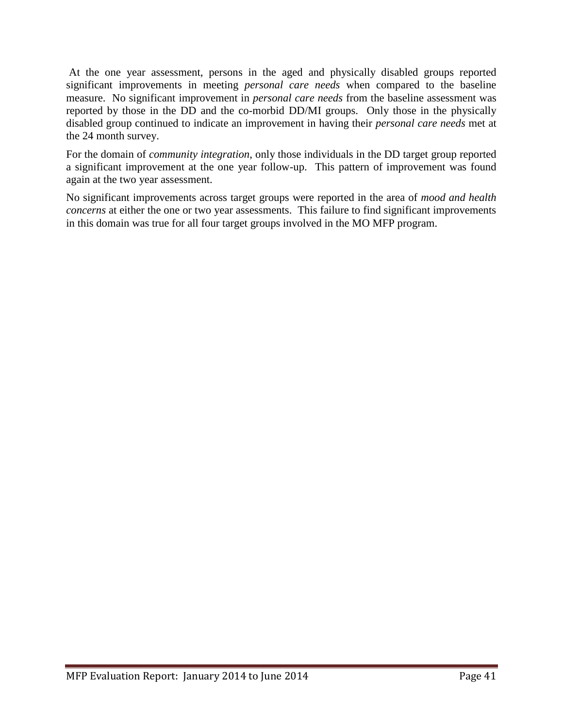At the one year assessment, persons in the aged and physically disabled groups reported significant improvements in meeting *personal care needs* when compared to the baseline measure. No significant improvement in *personal care needs* from the baseline assessment was reported by those in the DD and the co-morbid DD/MI groups. Only those in the physically disabled group continued to indicate an improvement in having their *personal care needs* met at the 24 month survey.

For the domain of *community integration*, only those individuals in the DD target group reported a significant improvement at the one year follow-up. This pattern of improvement was found again at the two year assessment.

No significant improvements across target groups were reported in the area of *mood and health concerns* at either the one or two year assessments. This failure to find significant improvements in this domain was true for all four target groups involved in the MO MFP program.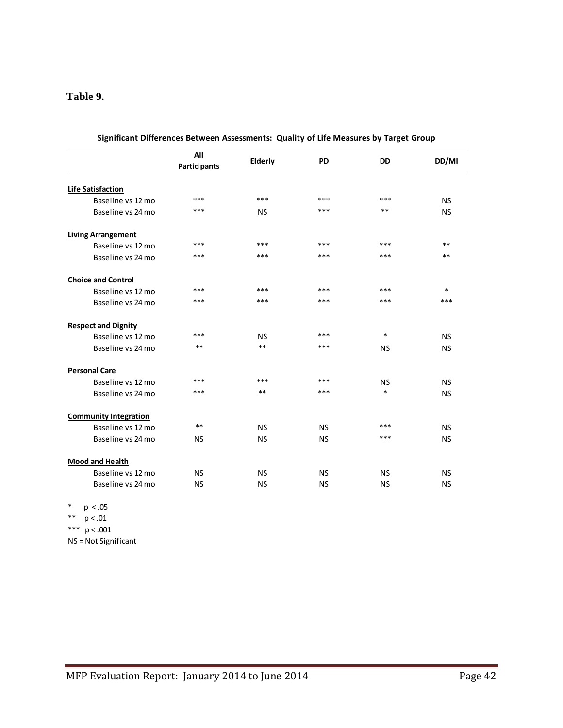#### **Table 9.**

|                              | All<br><b>Participants</b> | Elderly   | <b>PD</b> | <b>DD</b> | DD/MI     |
|------------------------------|----------------------------|-----------|-----------|-----------|-----------|
| <b>Life Satisfaction</b>     |                            |           |           |           |           |
| Baseline vs 12 mo            | $***$                      | $***$     | ***       | ***       | <b>NS</b> |
| Baseline vs 24 mo            | ***                        | <b>NS</b> | ***       | $**$      | <b>NS</b> |
| <b>Living Arrangement</b>    |                            |           |           |           |           |
| Baseline vs 12 mo            | ***                        | ***       | ***       | ***       | $***$     |
| Baseline vs 24 mo            | $***$                      | ***       | ***       | ***       | $***$     |
| <b>Choice and Control</b>    |                            |           |           |           |           |
| Baseline vs 12 mo            | ***                        | $***$     | ***       | ***       | $\ast$    |
| Baseline vs 24 mo            | ***                        | ***       | ***       | ***       | ***       |
| <b>Respect and Dignity</b>   |                            |           |           |           |           |
| Baseline vs 12 mo            | ***                        | <b>NS</b> | ***       | $\ast$    | <b>NS</b> |
| Baseline vs 24 mo            | $**$                       | $**$      | ***       | <b>NS</b> | <b>NS</b> |
| <b>Personal Care</b>         |                            |           |           |           |           |
| Baseline vs 12 mo            | ***                        | ***       | ***       | <b>NS</b> | <b>NS</b> |
| Baseline vs 24 mo            | ***                        | $**$      | ***       | $\ast$    | <b>NS</b> |
| <b>Community Integration</b> |                            |           |           |           |           |
| Baseline vs 12 mo            | $***$                      | <b>NS</b> | <b>NS</b> | ***       | <b>NS</b> |
| Baseline vs 24 mo            | <b>NS</b>                  | <b>NS</b> | <b>NS</b> | ***       | <b>NS</b> |
| Mood and Health              |                            |           |           |           |           |
| Baseline vs 12 mo            | <b>NS</b>                  | <b>NS</b> | <b>NS</b> | <b>NS</b> | <b>NS</b> |
| Baseline vs 24 mo            | <b>NS</b>                  | <b>NS</b> | <b>NS</b> | <b>NS</b> | <b>NS</b> |

| Significant Differences Between Assessments: Quality of Life Measures by Target Group |  |
|---------------------------------------------------------------------------------------|--|
|---------------------------------------------------------------------------------------|--|

\*  $p < .05$ 

- \*\* p < .01
- \*\*\*  $p < .001$

NS = Not Significant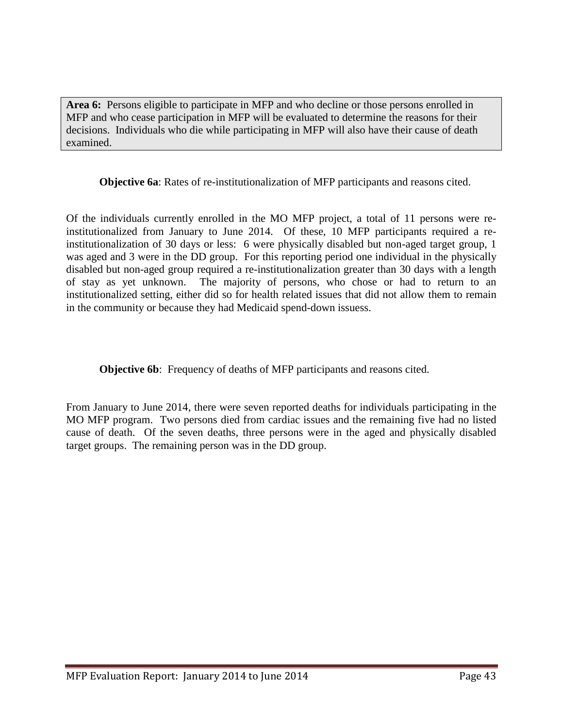**Area 6:** Persons eligible to participate in MFP and who decline or those persons enrolled in MFP and who cease participation in MFP will be evaluated to determine the reasons for their decisions. Individuals who die while participating in MFP will also have their cause of death examined.

**Objective 6a**: Rates of re-institutionalization of MFP participants and reasons cited.

Of the individuals currently enrolled in the MO MFP project, a total of 11 persons were reinstitutionalized from January to June 2014. Of these, 10 MFP participants required a reinstitutionalization of 30 days or less: 6 were physically disabled but non-aged target group, 1 was aged and 3 were in the DD group. For this reporting period one individual in the physically disabled but non-aged group required a re-institutionalization greater than 30 days with a length of stay as yet unknown. The majority of persons, who chose or had to return to an institutionalized setting, either did so for health related issues that did not allow them to remain in the community or because they had Medicaid spend-down issuess.

**Objective 6b:** Frequency of deaths of MFP participants and reasons cited.

From January to June 2014, there were seven reported deaths for individuals participating in the MO MFP program. Two persons died from cardiac issues and the remaining five had no listed cause of death. Of the seven deaths, three persons were in the aged and physically disabled target groups. The remaining person was in the DD group.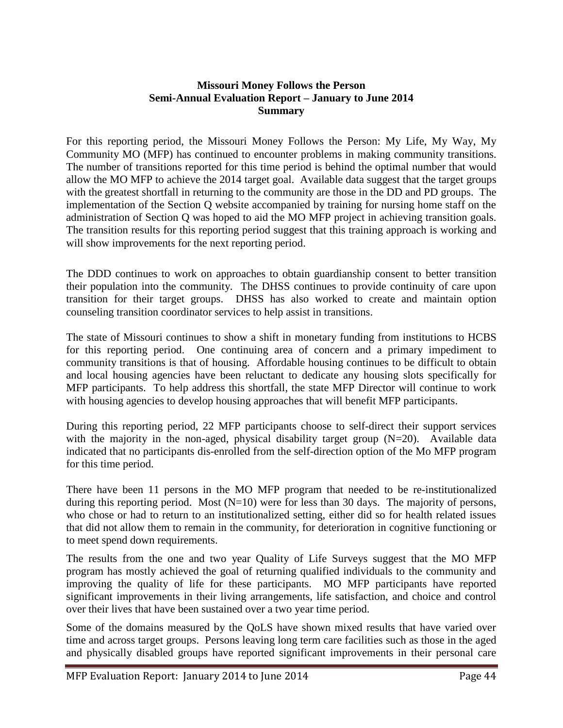#### **Missouri Money Follows the Person Semi-Annual Evaluation Report – January to June 2014 Summary**

For this reporting period, the Missouri Money Follows the Person: My Life, My Way, My Community MO (MFP) has continued to encounter problems in making community transitions. The number of transitions reported for this time period is behind the optimal number that would allow the MO MFP to achieve the 2014 target goal. Available data suggest that the target groups with the greatest shortfall in returning to the community are those in the DD and PD groups. The implementation of the Section Q website accompanied by training for nursing home staff on the administration of Section Q was hoped to aid the MO MFP project in achieving transition goals. The transition results for this reporting period suggest that this training approach is working and will show improvements for the next reporting period.

The DDD continues to work on approaches to obtain guardianship consent to better transition their population into the community. The DHSS continues to provide continuity of care upon transition for their target groups. DHSS has also worked to create and maintain option counseling transition coordinator services to help assist in transitions.

The state of Missouri continues to show a shift in monetary funding from institutions to HCBS for this reporting period. One continuing area of concern and a primary impediment to community transitions is that of housing. Affordable housing continues to be difficult to obtain and local housing agencies have been reluctant to dedicate any housing slots specifically for MFP participants. To help address this shortfall, the state MFP Director will continue to work with housing agencies to develop housing approaches that will benefit MFP participants.

During this reporting period, 22 MFP participants choose to self-direct their support services with the majority in the non-aged, physical disability target group  $(N=20)$ . Available data indicated that no participants dis-enrolled from the self-direction option of the Mo MFP program for this time period.

There have been 11 persons in the MO MFP program that needed to be re-institutionalized during this reporting period. Most  $(N=10)$  were for less than 30 days. The majority of persons, who chose or had to return to an institutionalized setting, either did so for health related issues that did not allow them to remain in the community, for deterioration in cognitive functioning or to meet spend down requirements.

The results from the one and two year Quality of Life Surveys suggest that the MO MFP program has mostly achieved the goal of returning qualified individuals to the community and improving the quality of life for these participants. MO MFP participants have reported significant improvements in their living arrangements, life satisfaction, and choice and control over their lives that have been sustained over a two year time period.

Some of the domains measured by the QoLS have shown mixed results that have varied over time and across target groups. Persons leaving long term care facilities such as those in the aged and physically disabled groups have reported significant improvements in their personal care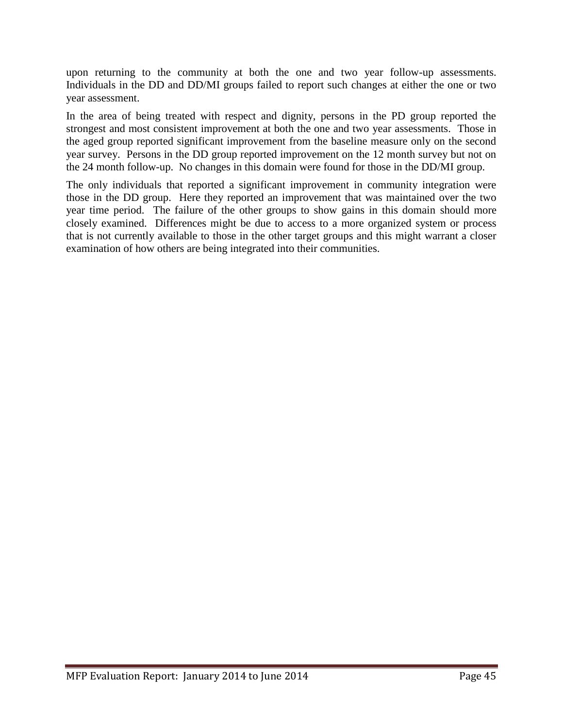upon returning to the community at both the one and two year follow-up assessments. Individuals in the DD and DD/MI groups failed to report such changes at either the one or two year assessment.

In the area of being treated with respect and dignity, persons in the PD group reported the strongest and most consistent improvement at both the one and two year assessments. Those in the aged group reported significant improvement from the baseline measure only on the second year survey. Persons in the DD group reported improvement on the 12 month survey but not on the 24 month follow-up. No changes in this domain were found for those in the DD/MI group.

The only individuals that reported a significant improvement in community integration were those in the DD group. Here they reported an improvement that was maintained over the two year time period. The failure of the other groups to show gains in this domain should more closely examined. Differences might be due to access to a more organized system or process that is not currently available to those in the other target groups and this might warrant a closer examination of how others are being integrated into their communities.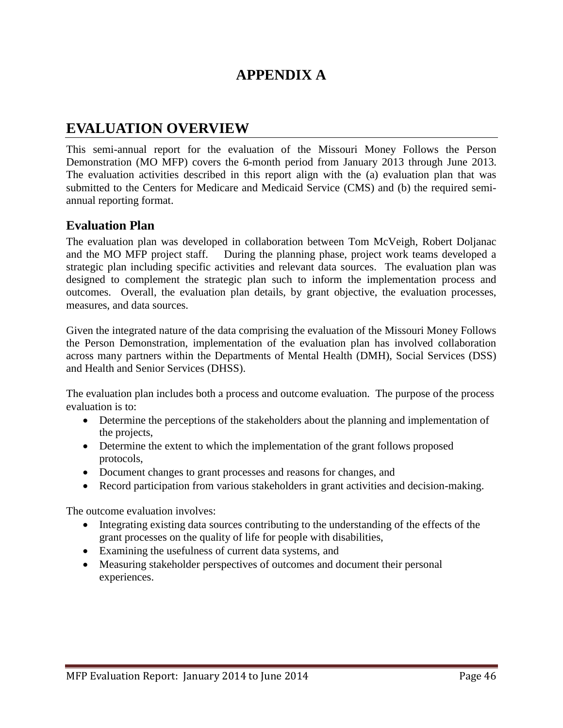## **APPENDIX A**

## **EVALUATION OVERVIEW**

This semi-annual report for the evaluation of the Missouri Money Follows the Person Demonstration (MO MFP) covers the 6-month period from January 2013 through June 2013. The evaluation activities described in this report align with the (a) evaluation plan that was submitted to the Centers for Medicare and Medicaid Service (CMS) and (b) the required semiannual reporting format.

#### **Evaluation Plan**

The evaluation plan was developed in collaboration between Tom McVeigh, Robert Doljanac and the MO MFP project staff. During the planning phase, project work teams developed a strategic plan including specific activities and relevant data sources. The evaluation plan was designed to complement the strategic plan such to inform the implementation process and outcomes. Overall, the evaluation plan details, by grant objective, the evaluation processes, measures, and data sources.

Given the integrated nature of the data comprising the evaluation of the Missouri Money Follows the Person Demonstration, implementation of the evaluation plan has involved collaboration across many partners within the Departments of Mental Health (DMH), Social Services (DSS) and Health and Senior Services (DHSS).

The evaluation plan includes both a process and outcome evaluation. The purpose of the process evaluation is to:

- Determine the perceptions of the stakeholders about the planning and implementation of the projects,
- Determine the extent to which the implementation of the grant follows proposed protocols,
- Document changes to grant processes and reasons for changes, and
- Record participation from various stakeholders in grant activities and decision-making.

The outcome evaluation involves:

- Integrating existing data sources contributing to the understanding of the effects of the grant processes on the quality of life for people with disabilities,
- Examining the usefulness of current data systems, and
- Measuring stakeholder perspectives of outcomes and document their personal experiences.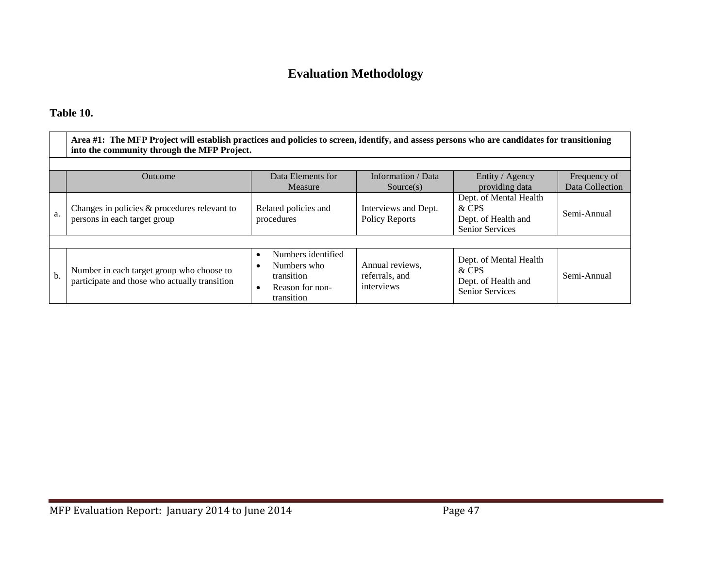## **Evaluation Methodology**

#### **Table 10.**

|     | Area #1: The MFP Project will establish practices and policies to screen, identify, and assess persons who are candidates for transitioning<br>into the community through the MFP Project. |                                                                                  |                                                 |                                                                                  |                 |  |  |
|-----|--------------------------------------------------------------------------------------------------------------------------------------------------------------------------------------------|----------------------------------------------------------------------------------|-------------------------------------------------|----------------------------------------------------------------------------------|-----------------|--|--|
|     |                                                                                                                                                                                            |                                                                                  |                                                 |                                                                                  |                 |  |  |
|     | <b>Outcome</b>                                                                                                                                                                             | Data Elements for                                                                | Information / Data                              | Entity / Agency                                                                  | Frequency of    |  |  |
|     |                                                                                                                                                                                            | Measure                                                                          | Source(s)                                       | providing data                                                                   | Data Collection |  |  |
| a.  | Changes in policies & procedures relevant to<br>persons in each target group                                                                                                               | Related policies and<br>procedures                                               | Interviews and Dept.<br>Policy Reports          | Dept. of Mental Health<br>& CPS<br>Dept. of Health and<br><b>Senior Services</b> | Semi-Annual     |  |  |
|     |                                                                                                                                                                                            |                                                                                  |                                                 |                                                                                  |                 |  |  |
| $b$ | Number in each target group who choose to<br>participate and those who actually transition                                                                                                 | Numbers identified<br>Numbers who<br>transition<br>Reason for non-<br>transition | Annual reviews,<br>referrals, and<br>interviews | Dept. of Mental Health<br>& CPS<br>Dept. of Health and<br>Senior Services        | Semi-Annual     |  |  |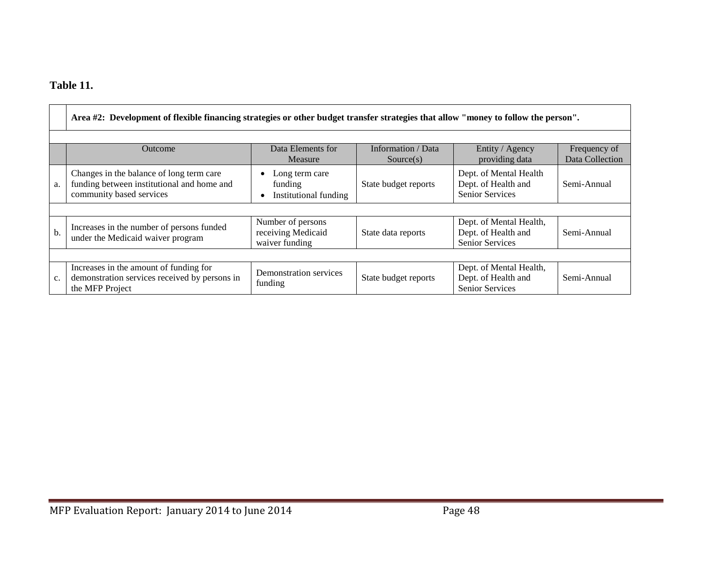#### **Table 11.**

|    | Area #2: Development of flexible financing strategies or other budget transfer strategies that allow "money to follow the person". |                                                           |                                 |                                                                          |                                 |  |  |
|----|------------------------------------------------------------------------------------------------------------------------------------|-----------------------------------------------------------|---------------------------------|--------------------------------------------------------------------------|---------------------------------|--|--|
|    | Outcome                                                                                                                            | Data Elements for<br>Measure                              | Information / Data<br>Source(s) | Entity / Agency<br>providing data                                        | Frequency of<br>Data Collection |  |  |
| a. | Changes in the balance of long term care<br>funding between institutional and home and<br>community based services                 | Long term care<br>funding<br>Institutional funding<br>٠   | State budget reports            | Dept. of Mental Health<br>Dept. of Health and<br><b>Senior Services</b>  | Semi-Annual                     |  |  |
|    |                                                                                                                                    |                                                           |                                 |                                                                          |                                 |  |  |
| b. | Increases in the number of persons funded<br>under the Medicaid waiver program                                                     | Number of persons<br>receiving Medicaid<br>waiver funding | State data reports              | Dept. of Mental Health,<br>Dept. of Health and<br><b>Senior Services</b> | Semi-Annual                     |  |  |
|    |                                                                                                                                    |                                                           |                                 |                                                                          |                                 |  |  |
| c. | Increases in the amount of funding for<br>demonstration services received by persons in<br>the MFP Project                         | Demonstration services<br>funding                         | State budget reports            | Dept. of Mental Health,<br>Dept. of Health and<br><b>Senior Services</b> | Semi-Annual                     |  |  |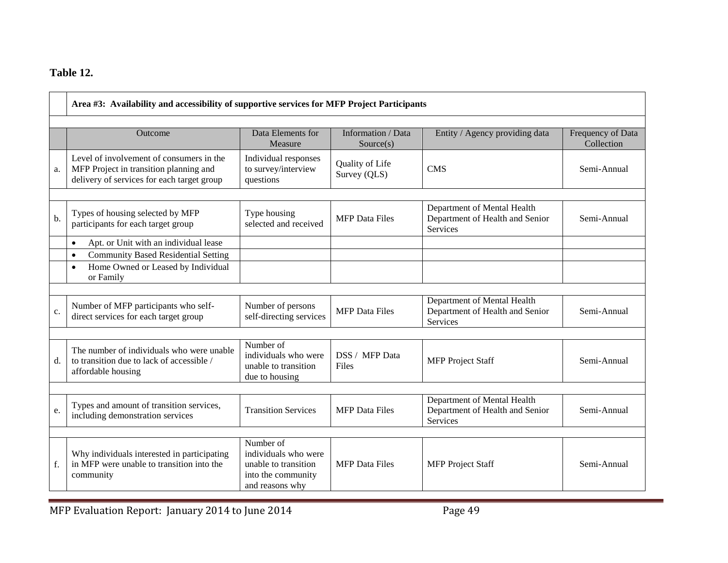#### **Table 12.**

|    | Area #3: Availability and accessibility of supportive services for MFP Project Participants                                      |                                                                                                    |                                 |                                                                                   |                                 |  |  |
|----|----------------------------------------------------------------------------------------------------------------------------------|----------------------------------------------------------------------------------------------------|---------------------------------|-----------------------------------------------------------------------------------|---------------------------------|--|--|
|    | Outcome                                                                                                                          | Data Elements for<br>Measure                                                                       | Information / Data<br>Source(s) | Entity / Agency providing data                                                    | Frequency of Data<br>Collection |  |  |
| a. | Level of involvement of consumers in the<br>MFP Project in transition planning and<br>delivery of services for each target group | Individual responses<br>to survey/interview<br>questions                                           | Quality of Life<br>Survey (QLS) | <b>CMS</b>                                                                        | Semi-Annual                     |  |  |
| b. | Types of housing selected by MFP<br>participants for each target group                                                           | Type housing<br>selected and received                                                              | <b>MFP</b> Data Files           | Department of Mental Health<br>Department of Health and Senior<br><b>Services</b> | Semi-Annual                     |  |  |
|    | Apt. or Unit with an individual lease<br>$\bullet$                                                                               |                                                                                                    |                                 |                                                                                   |                                 |  |  |
|    | <b>Community Based Residential Setting</b><br>$\bullet$<br>Home Owned or Leased by Individual<br>$\bullet$<br>or Family          |                                                                                                    |                                 |                                                                                   |                                 |  |  |
|    |                                                                                                                                  |                                                                                                    |                                 |                                                                                   |                                 |  |  |
| c. | Number of MFP participants who self-<br>direct services for each target group                                                    | Number of persons<br>self-directing services                                                       | <b>MFP</b> Data Files           | Department of Mental Health<br>Department of Health and Senior<br><b>Services</b> | Semi-Annual                     |  |  |
|    |                                                                                                                                  |                                                                                                    |                                 |                                                                                   |                                 |  |  |
| d. | The number of individuals who were unable<br>to transition due to lack of accessible /<br>affordable housing                     | Number of<br>individuals who were<br>unable to transition<br>due to housing                        | DSS / MFP Data<br>Files         | <b>MFP</b> Project Staff                                                          | Semi-Annual                     |  |  |
|    |                                                                                                                                  |                                                                                                    |                                 |                                                                                   |                                 |  |  |
| e. | Types and amount of transition services,<br>including demonstration services                                                     | <b>Transition Services</b>                                                                         | <b>MFP</b> Data Files           | Department of Mental Health<br>Department of Health and Senior<br><b>Services</b> | Semi-Annual                     |  |  |
|    |                                                                                                                                  |                                                                                                    |                                 |                                                                                   |                                 |  |  |
| f. | Why individuals interested in participating<br>in MFP were unable to transition into the<br>community                            | Number of<br>individuals who were<br>unable to transition<br>into the community<br>and reasons why | <b>MFP</b> Data Files           | <b>MFP</b> Project Staff                                                          | Semi-Annual                     |  |  |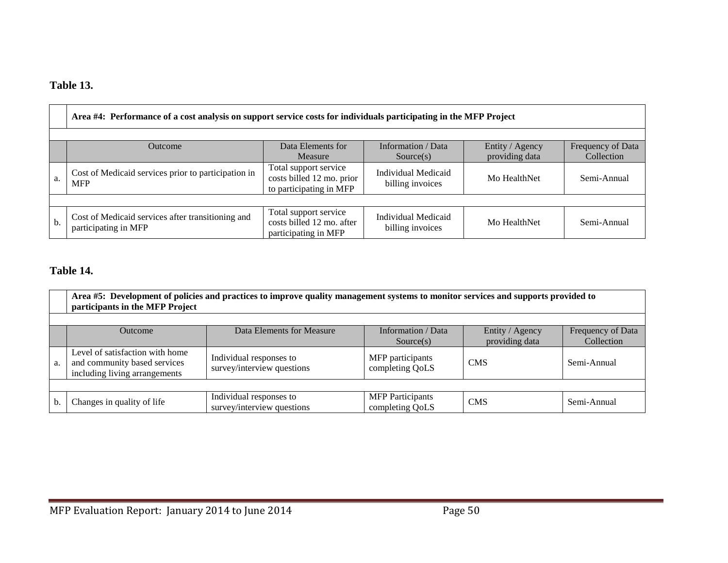#### **Table 13.**

|      | Area #4: Performance of a cost analysis on support service costs for individuals participating in the MFP Project                                         |                                                                               |                                                |              |             |  |  |  |
|------|-----------------------------------------------------------------------------------------------------------------------------------------------------------|-------------------------------------------------------------------------------|------------------------------------------------|--------------|-------------|--|--|--|
|      | Data Elements for<br>Information / Data<br>Entity / Agency<br>Frequency of Data<br><b>Outcome</b><br>providing data<br>Collection<br>Measure<br>Source(s) |                                                                               |                                                |              |             |  |  |  |
| ` a. | Cost of Medicaid services prior to participation in<br><b>MFP</b>                                                                                         | Total support service<br>costs billed 12 mo. prior<br>to participating in MFP | <b>Individual Medicaid</b><br>billing invoices | Mo HealthNet | Semi-Annual |  |  |  |
|      |                                                                                                                                                           |                                                                               |                                                |              |             |  |  |  |
| $b$  | Cost of Medicaid services after transitioning and<br>participating in MFP                                                                                 | Total support service<br>costs billed 12 mo. after<br>participating in MFP    | Individual Medicaid<br>billing invoices        | Mo HealthNet | Semi-Annual |  |  |  |

#### **Table 14.**

|    | Area #5: Development of policies and practices to improve quality management systems to monitor services and supports provided to<br>participants in the MFP Project |                                                       |                                            |            |             |  |  |  |
|----|----------------------------------------------------------------------------------------------------------------------------------------------------------------------|-------------------------------------------------------|--------------------------------------------|------------|-------------|--|--|--|
|    | Information / Data<br>Data Elements for Measure<br>Entity / Agency<br>Frequency of Data<br><b>Outcome</b><br>providing data<br>Collection<br>Source(s)               |                                                       |                                            |            |             |  |  |  |
| a. | Level of satisfaction with home<br>and community based services<br>including living arrangements                                                                     | Individual responses to<br>survey/interview questions | MFP participants<br>completing QoLS        | <b>CMS</b> | Semi-Annual |  |  |  |
|    |                                                                                                                                                                      |                                                       |                                            |            |             |  |  |  |
| b. | Changes in quality of life                                                                                                                                           | Individual responses to<br>survey/interview questions | <b>MFP</b> Participants<br>completing QoLS | <b>CMS</b> | Semi-Annual |  |  |  |